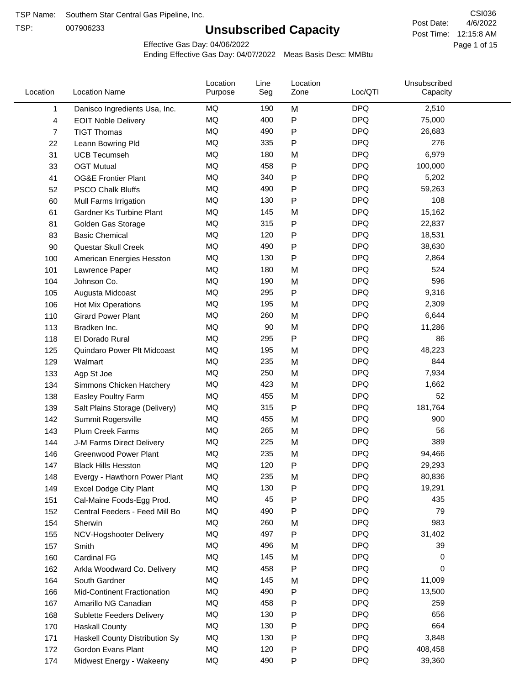TSP:

## **Unsubscribed Capacity**

4/6/2022 Page 1 of 15 Post Time: 12:15:8 AM CSI036 Post Date:

Effective Gas Day: 04/06/2022

| Location       | <b>Location Name</b>            | Location<br>Purpose | Line<br>Seg | Location<br>Zone | Loc/QTI    | Unsubscribed<br>Capacity |  |
|----------------|---------------------------------|---------------------|-------------|------------------|------------|--------------------------|--|
| 1              | Danisco Ingredients Usa, Inc.   | MQ                  | 190         | M                | <b>DPQ</b> | 2,510                    |  |
| 4              | <b>EOIT Noble Delivery</b>      | MQ                  | 400         | P                | <b>DPQ</b> | 75,000                   |  |
| $\overline{7}$ | <b>TIGT Thomas</b>              | MQ                  | 490         | P                | <b>DPQ</b> | 26,683                   |  |
| 22             | Leann Bowring Pld               | <b>MQ</b>           | 335         | P                | <b>DPQ</b> | 276                      |  |
| 31             | <b>UCB Tecumseh</b>             | <b>MQ</b>           | 180         | M                | <b>DPQ</b> | 6,979                    |  |
| 33             | <b>OGT Mutual</b>               | <b>MQ</b>           | 458         | P                | <b>DPQ</b> | 100,000                  |  |
| 41             | <b>OG&amp;E Frontier Plant</b>  | MQ                  | 340         | P                | <b>DPQ</b> | 5,202                    |  |
| 52             | <b>PSCO Chalk Bluffs</b>        | MQ                  | 490         | Ρ                | <b>DPQ</b> | 59,263                   |  |
| 60             | Mull Farms Irrigation           | <b>MQ</b>           | 130         | P                | <b>DPQ</b> | 108                      |  |
| 61             | <b>Gardner Ks Turbine Plant</b> | MQ                  | 145         | M                | <b>DPQ</b> | 15,162                   |  |
| 81             | Golden Gas Storage              | MQ                  | 315         | P                | <b>DPQ</b> | 22,837                   |  |
| 83             | <b>Basic Chemical</b>           | <b>MQ</b>           | 120         | P                | <b>DPQ</b> | 18,531                   |  |
| 90             | Questar Skull Creek             | <b>MQ</b>           | 490         | P                | <b>DPQ</b> | 38,630                   |  |
| 100            | American Energies Hesston       | <b>MQ</b>           | 130         | P                | <b>DPQ</b> | 2,864                    |  |
| 101            | Lawrence Paper                  | <b>MQ</b>           | 180         | M                | <b>DPQ</b> | 524                      |  |
| 104            | Johnson Co.                     | MQ                  | 190         | M                | <b>DPQ</b> | 596                      |  |
| 105            | Augusta Midcoast                | MQ                  | 295         | P                | <b>DPQ</b> | 9,316                    |  |
| 106            | Hot Mix Operations              | MQ                  | 195         | M                | <b>DPQ</b> | 2,309                    |  |
| 110            | <b>Girard Power Plant</b>       | MQ                  | 260         | M                | <b>DPQ</b> | 6,644                    |  |
| 113            | Bradken Inc.                    | MQ                  | 90          | M                | <b>DPQ</b> | 11,286                   |  |
| 118            | El Dorado Rural                 | <b>MQ</b>           | 295         | P                | <b>DPQ</b> | 86                       |  |
| 125            | Quindaro Power Plt Midcoast     | <b>MQ</b>           | 195         | M                | <b>DPQ</b> | 48,223                   |  |
| 129            | Walmart                         | <b>MQ</b>           | 235         | M                | <b>DPQ</b> | 844                      |  |
| 133            | Agp St Joe                      | MQ                  | 250         | M                | <b>DPQ</b> | 7,934                    |  |
| 134            | Simmons Chicken Hatchery        | MQ                  | 423         | M                | <b>DPQ</b> | 1,662                    |  |
| 138            | Easley Poultry Farm             | MQ                  | 455         | M                | <b>DPQ</b> | 52                       |  |
| 139            | Salt Plains Storage (Delivery)  | MQ                  | 315         | P                | <b>DPQ</b> | 181,764                  |  |
| 142            | Summit Rogersville              | MQ                  | 455         | M                | <b>DPQ</b> | 900                      |  |
| 143            | Plum Creek Farms                | MQ                  | 265         | M                | <b>DPQ</b> | 56                       |  |
| 144            | J-M Farms Direct Delivery       | MQ                  | 225         | M                | <b>DPQ</b> | 389                      |  |
| 146            | <b>Greenwood Power Plant</b>    | <b>MQ</b>           | 235         | M                | <b>DPQ</b> | 94,466                   |  |
| 147            | <b>Black Hills Hesston</b>      | MQ                  | 120         | P                | <b>DPQ</b> | 29,293                   |  |
| 148            | Evergy - Hawthorn Power Plant   | MQ                  | 235         | M                | <b>DPQ</b> | 80,836                   |  |
| 149            | <b>Excel Dodge City Plant</b>   | MQ                  | 130         | P                | <b>DPQ</b> | 19,291                   |  |
| 151            | Cal-Maine Foods-Egg Prod.       | MQ                  | 45          | Ρ                | <b>DPQ</b> | 435                      |  |
| 152            | Central Feeders - Feed Mill Bo  | MQ                  | 490         | P                | <b>DPQ</b> | 79                       |  |
| 154            | Sherwin                         | MQ                  | 260         | M                | <b>DPQ</b> | 983                      |  |
| 155            | NCV-Hogshooter Delivery         | MQ                  | 497         | Ρ                | <b>DPQ</b> | 31,402                   |  |
| 157            | Smith                           | MQ                  | 496         | M                | <b>DPQ</b> | 39                       |  |
| 160            | Cardinal FG                     | MQ                  | 145         | M                | <b>DPQ</b> | 0                        |  |
| 162            | Arkla Woodward Co. Delivery     | MQ                  | 458         | P                | <b>DPQ</b> | 0                        |  |
| 164            | South Gardner                   | MQ                  | 145         | M                | <b>DPQ</b> | 11,009                   |  |
| 166            | Mid-Continent Fractionation     | MQ                  | 490         | Ρ                | <b>DPQ</b> | 13,500                   |  |
| 167            | Amarillo NG Canadian            | MQ                  | 458         | Ρ                | <b>DPQ</b> | 259                      |  |
| 168            | Sublette Feeders Delivery       | MQ                  | 130         | Ρ                | <b>DPQ</b> | 656                      |  |
| 170            | <b>Haskall County</b>           | MQ                  | 130         | Ρ                | <b>DPQ</b> | 664                      |  |
| 171            | Haskell County Distribution Sy  | MQ                  | 130         | Ρ                | <b>DPQ</b> | 3,848                    |  |
| 172            | Gordon Evans Plant              | MQ                  | 120         | Ρ                | <b>DPQ</b> | 408,458                  |  |
| 174            | Midwest Energy - Wakeeny        | MQ                  | 490         | P                | <b>DPQ</b> | 39,360                   |  |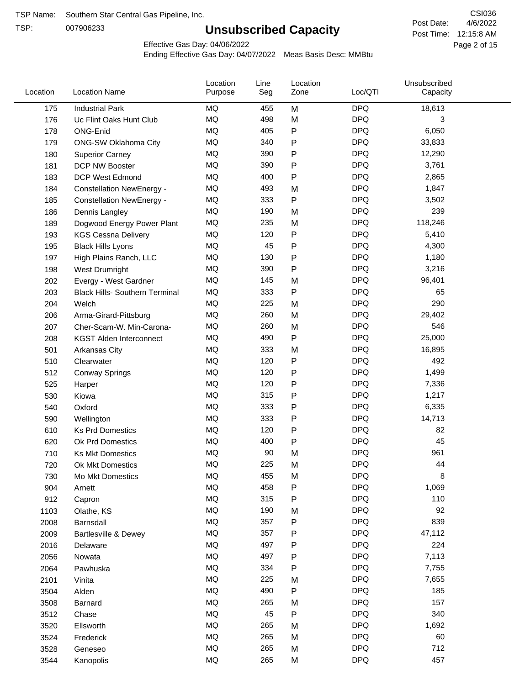TSP:

## **Unsubscribed Capacity**

4/6/2022 Page 2 of 15 Post Time: 12:15:8 AM CSI036 Post Date:

Effective Gas Day: 04/06/2022

| Location | <b>Location Name</b>                  | Location<br>Purpose | Line<br>Seg | Location<br>Zone | Loc/QTI    | Unsubscribed<br>Capacity |  |
|----------|---------------------------------------|---------------------|-------------|------------------|------------|--------------------------|--|
| 175      | <b>Industrial Park</b>                | MQ                  | 455         | M                | <b>DPQ</b> | 18,613                   |  |
| 176      | Uc Flint Oaks Hunt Club               | MQ                  | 498         | M                | <b>DPQ</b> | 3                        |  |
| 178      | ONG-Enid                              | MQ                  | 405         | ${\sf P}$        | <b>DPQ</b> | 6,050                    |  |
| 179      | ONG-SW Oklahoma City                  | MQ                  | 340         | $\mathsf{P}$     | <b>DPQ</b> | 33,833                   |  |
| 180      | <b>Superior Carney</b>                | MQ                  | 390         | P                | <b>DPQ</b> | 12,290                   |  |
| 181      | DCP NW Booster                        | <b>MQ</b>           | 390         | P                | <b>DPQ</b> | 3,761                    |  |
| 183      | <b>DCP West Edmond</b>                | <b>MQ</b>           | 400         | ${\sf P}$        | <b>DPQ</b> | 2,865                    |  |
| 184      | <b>Constellation NewEnergy -</b>      | MQ                  | 493         | M                | <b>DPQ</b> | 1,847                    |  |
| 185      | <b>Constellation NewEnergy -</b>      | MQ                  | 333         | $\mathsf{P}$     | <b>DPQ</b> | 3,502                    |  |
| 186      | Dennis Langley                        | MQ                  | 190         | M                | <b>DPQ</b> | 239                      |  |
| 189      | Dogwood Energy Power Plant            | MQ                  | 235         | M                | <b>DPQ</b> | 118,246                  |  |
| 193      | <b>KGS Cessna Delivery</b>            | MQ                  | 120         | P                | <b>DPQ</b> | 5,410                    |  |
| 195      | <b>Black Hills Lyons</b>              | MQ                  | 45          | P                | <b>DPQ</b> | 4,300                    |  |
| 197      | High Plains Ranch, LLC                | <b>MQ</b>           | 130         | P                | <b>DPQ</b> | 1,180                    |  |
| 198      | West Drumright                        | <b>MQ</b>           | 390         | $\mathsf{P}$     | <b>DPQ</b> | 3,216                    |  |
| 202      | Evergy - West Gardner                 | <b>MQ</b>           | 145         | M                | <b>DPQ</b> | 96,401                   |  |
| 203      | <b>Black Hills- Southern Terminal</b> | MQ                  | 333         | $\mathsf{P}$     | <b>DPQ</b> | 65                       |  |
| 204      | Welch                                 | MQ                  | 225         | M                | <b>DPQ</b> | 290                      |  |
| 206      | Arma-Girard-Pittsburg                 | MQ                  | 260         | M                | <b>DPQ</b> | 29,402                   |  |
| 207      | Cher-Scam-W. Min-Carona-              | MQ                  | 260         | M                | <b>DPQ</b> | 546                      |  |
| 208      | <b>KGST Alden Interconnect</b>        | MQ                  | 490         | ${\sf P}$        | <b>DPQ</b> | 25,000                   |  |
| 501      | <b>Arkansas City</b>                  | MQ                  | 333         | M                | <b>DPQ</b> | 16,895                   |  |
| 510      | Clearwater                            | <b>MQ</b>           | 120         | P                | <b>DPQ</b> | 492                      |  |
| 512      | <b>Conway Springs</b>                 | <b>MQ</b>           | 120         | P                | <b>DPQ</b> | 1,499                    |  |
| 525      | Harper                                | <b>MQ</b>           | 120         | P                | <b>DPQ</b> | 7,336                    |  |
| 530      | Kiowa                                 | MQ                  | 315         | ${\sf P}$        | <b>DPQ</b> | 1,217                    |  |
| 540      | Oxford                                | MQ                  | 333         | P                | <b>DPQ</b> | 6,335                    |  |
| 590      | Wellington                            | <b>MQ</b>           | 333         | P                | <b>DPQ</b> | 14,713                   |  |
| 610      | <b>Ks Prd Domestics</b>               | <b>MQ</b>           | 120         | P                | <b>DPQ</b> | 82                       |  |
| 620      | Ok Prd Domestics                      | MQ                  | 400         | P                | <b>DPQ</b> | 45                       |  |
| 710      | <b>Ks Mkt Domestics</b>               | <b>MQ</b>           | 90          | M                | <b>DPQ</b> | 961                      |  |
| 720      | <b>Ok Mkt Domestics</b>               | MQ                  | 225         | M                | <b>DPQ</b> | 44                       |  |
| 730      | Mo Mkt Domestics                      | MQ                  | 455         | M                | <b>DPQ</b> | 8                        |  |
| 904      | Arnett                                | $\sf{MQ}$           | 458         | P                | <b>DPQ</b> | 1,069                    |  |
| 912      | Capron                                | $\sf{MQ}$           | 315         | P                | <b>DPQ</b> | 110                      |  |
| 1103     | Olathe, KS                            | $\sf{MQ}$           | 190         | M                | <b>DPQ</b> | 92                       |  |
| 2008     | Barnsdall                             | MQ                  | 357         | P                | <b>DPQ</b> | 839                      |  |
| 2009     | Bartlesville & Dewey                  | MQ                  | 357         | P                | <b>DPQ</b> | 47,112                   |  |
| 2016     | Delaware                              | MQ                  | 497         | P                | <b>DPQ</b> | 224                      |  |
| 2056     | Nowata                                | $\sf{MQ}$           | 497         | P                | <b>DPQ</b> | 7,113                    |  |
| 2064     | Pawhuska                              | $\sf{MQ}$           | 334         | P                | <b>DPQ</b> | 7,755                    |  |
| 2101     | Vinita                                | MQ                  | 225         | M                | <b>DPQ</b> | 7,655                    |  |
| 3504     | Alden                                 | MQ                  | 490         | ${\sf P}$        | <b>DPQ</b> | 185                      |  |
| 3508     | Barnard                               | MQ                  | 265         | M                | <b>DPQ</b> | 157                      |  |
| 3512     | Chase                                 | <b>MQ</b>           | 45          | P                | <b>DPQ</b> | 340                      |  |
| 3520     | Ellsworth                             | MQ                  | 265         | M                | <b>DPQ</b> | 1,692                    |  |
| 3524     | Frederick                             | MQ                  | 265         | M                | <b>DPQ</b> | 60                       |  |
| 3528     | Geneseo                               | MQ                  | 265         | M                | <b>DPQ</b> | 712                      |  |
| 3544     | Kanopolis                             | $\sf{MQ}$           | 265         | M                | <b>DPQ</b> | 457                      |  |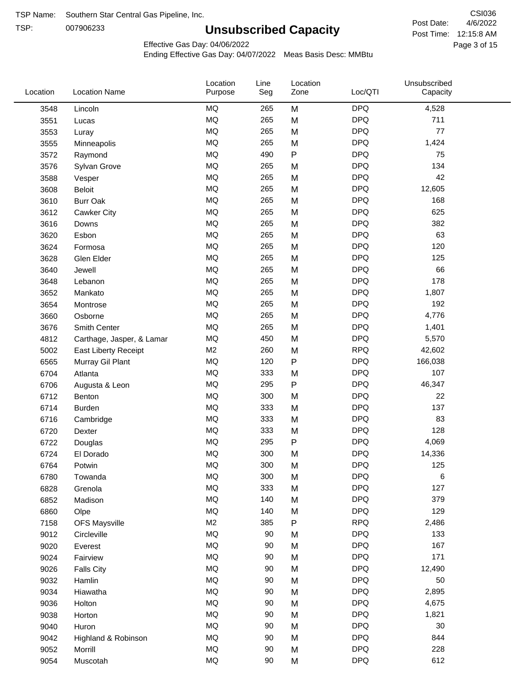TSP: 

# **Unsubscribed Capacity**

4/6/2022 Page 3 of 15 Post Time: 12:15:8 AM CSI036 Post Date:

Unsubscribed

Effective Gas Day: 04/06/2022

Location

Ending Effective Gas Day: 04/07/2022 Meas Basis Desc: MMBtu

Line

Location

| Location | <b>Location Name</b>      | Purpose        | Seg | Zone         | Loc/QTI    | Capacity |  |
|----------|---------------------------|----------------|-----|--------------|------------|----------|--|
| 3548     | Lincoln                   | <b>MQ</b>      | 265 | M            | <b>DPQ</b> | 4,528    |  |
| 3551     | Lucas                     | <b>MQ</b>      | 265 | M            | <b>DPQ</b> | 711      |  |
| 3553     | Luray                     | <b>MQ</b>      | 265 | M            | <b>DPQ</b> | 77       |  |
| 3555     | Minneapolis               | <b>MQ</b>      | 265 | M            | <b>DPQ</b> | 1,424    |  |
| 3572     | Raymond                   | <b>MQ</b>      | 490 | $\mathsf{P}$ | <b>DPQ</b> | 75       |  |
| 3576     | Sylvan Grove              | <b>MQ</b>      | 265 | M            | <b>DPQ</b> | 134      |  |
| 3588     | Vesper                    | <b>MQ</b>      | 265 | M            | <b>DPQ</b> | 42       |  |
| 3608     | Beloit                    | <b>MQ</b>      | 265 | M            | <b>DPQ</b> | 12,605   |  |
| 3610     | <b>Burr Oak</b>           | <b>MQ</b>      | 265 | M            | <b>DPQ</b> | 168      |  |
| 3612     | Cawker City               | <b>MQ</b>      | 265 | M            | <b>DPQ</b> | 625      |  |
| 3616     | Downs                     | <b>MQ</b>      | 265 | M            | <b>DPQ</b> | 382      |  |
| 3620     | Esbon                     | <b>MQ</b>      | 265 | M            | <b>DPQ</b> | 63       |  |
| 3624     | Formosa                   | <b>MQ</b>      | 265 | M            | <b>DPQ</b> | 120      |  |
| 3628     | Glen Elder                | <b>MQ</b>      | 265 | M            | <b>DPQ</b> | 125      |  |
| 3640     | Jewell                    | <b>MQ</b>      | 265 | M            | <b>DPQ</b> | 66       |  |
| 3648     | Lebanon                   | <b>MQ</b>      | 265 | M            | <b>DPQ</b> | 178      |  |
| 3652     | Mankato                   | <b>MQ</b>      | 265 | M            | <b>DPQ</b> | 1,807    |  |
| 3654     | Montrose                  | <b>MQ</b>      | 265 | M            | <b>DPQ</b> | 192      |  |
| 3660     | Osborne                   | <b>MQ</b>      | 265 | M            | <b>DPQ</b> | 4,776    |  |
| 3676     | Smith Center              | <b>MQ</b>      | 265 | M            | <b>DPQ</b> | 1,401    |  |
| 4812     | Carthage, Jasper, & Lamar | <b>MQ</b>      | 450 | M            | <b>DPQ</b> | 5,570    |  |
| 5002     | East Liberty Receipt      | M <sub>2</sub> | 260 | M            | <b>RPQ</b> | 42,602   |  |
| 6565     | Murray Gil Plant          | <b>MQ</b>      | 120 | $\mathsf{P}$ | <b>DPQ</b> | 166,038  |  |
| 6704     | Atlanta                   | <b>MQ</b>      | 333 | M            | <b>DPQ</b> | 107      |  |
| 6706     | Augusta & Leon            | <b>MQ</b>      | 295 | ${\sf P}$    | <b>DPQ</b> | 46,347   |  |
| 6712     | Benton                    | <b>MQ</b>      | 300 | M            | <b>DPQ</b> | 22       |  |
| 6714     | <b>Burden</b>             | <b>MQ</b>      | 333 | M            | <b>DPQ</b> | 137      |  |
| 6716     | Cambridge                 | <b>MQ</b>      | 333 | M            | <b>DPQ</b> | 83       |  |
| 6720     | Dexter                    | <b>MQ</b>      | 333 | M            | <b>DPQ</b> | 128      |  |
| 6722     | Douglas                   | <b>MQ</b>      | 295 | ${\sf P}$    | <b>DPQ</b> | 4,069    |  |
| 6724     | El Dorado                 | <b>MQ</b>      | 300 | M            | <b>DPQ</b> | 14,336   |  |
| 6764     | Potwin                    | <b>MQ</b>      | 300 | M            | <b>DPQ</b> | 125      |  |
| 6780     | Towanda                   | <b>MQ</b>      | 300 | M            | <b>DPQ</b> | 6        |  |
| 6828     | Grenola                   | MQ             | 333 | M            | <b>DPQ</b> | 127      |  |
| 6852     | Madison                   | <b>MQ</b>      | 140 | M            | <b>DPQ</b> | 379      |  |
| 6860     | Olpe                      | MQ             | 140 | M            | <b>DPQ</b> | 129      |  |
| 7158     | <b>OFS Maysville</b>      | M <sub>2</sub> | 385 | $\sf P$      | <b>RPQ</b> | 2,486    |  |
| 9012     | Circleville               | MQ             | 90  | M            | <b>DPQ</b> | 133      |  |
| 9020     | Everest                   | <b>MQ</b>      | 90  | M            | <b>DPQ</b> | 167      |  |
| 9024     | Fairview                  | MQ             | 90  | M            | <b>DPQ</b> | 171      |  |
| 9026     | <b>Falls City</b>         | MQ             | 90  | M            | <b>DPQ</b> | 12,490   |  |
| 9032     | Hamlin                    | MQ             | 90  | M            | <b>DPQ</b> | 50       |  |
| 9034     | Hiawatha                  | MQ             | 90  | M            | <b>DPQ</b> | 2,895    |  |
| 9036     | Holton                    | MQ             | 90  | M            | <b>DPQ</b> | 4,675    |  |
| 9038     | Horton                    | <b>MQ</b>      | 90  | M            | <b>DPQ</b> | 1,821    |  |
| 9040     | Huron                     | MQ             | 90  | M            | <b>DPQ</b> | 30       |  |
| 9042     | Highland & Robinson       | MQ             | 90  | M            | <b>DPQ</b> | 844      |  |
| 9052     | Morrill                   | <b>MQ</b>      | 90  | M            | <b>DPQ</b> | 228      |  |
| 9054     | Muscotah                  | MQ             | 90  | M            | <b>DPQ</b> | 612      |  |
|          |                           |                |     |              |            |          |  |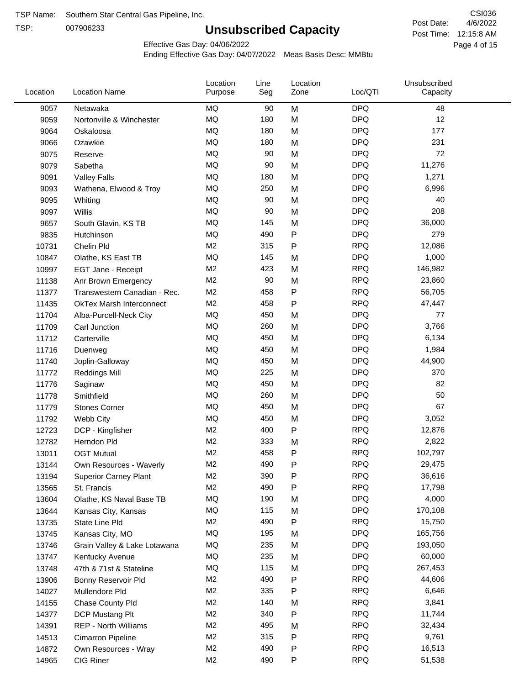TSP:

## **Unsubscribed Capacity**

4/6/2022 Page 4 of 15 Post Time: 12:15:8 AM CSI036 Post Date:

Effective Gas Day: 04/06/2022

| Location | <b>Location Name</b>            | Location<br>Purpose | Line<br>Seg | Location<br>Zone | Loc/QTI    | Unsubscribed<br>Capacity |  |
|----------|---------------------------------|---------------------|-------------|------------------|------------|--------------------------|--|
| 9057     | Netawaka                        | <b>MQ</b>           | 90          | M                | <b>DPQ</b> | 48                       |  |
| 9059     | Nortonville & Winchester        | MQ                  | 180         | M                | <b>DPQ</b> | 12                       |  |
| 9064     | Oskaloosa                       | <b>MQ</b>           | 180         | M                | <b>DPQ</b> | 177                      |  |
| 9066     | Ozawkie                         | <b>MQ</b>           | 180         | M                | <b>DPQ</b> | 231                      |  |
| 9075     | Reserve                         | <b>MQ</b>           | 90          | M                | <b>DPQ</b> | 72                       |  |
| 9079     | Sabetha                         | <b>MQ</b>           | 90          | M                | <b>DPQ</b> | 11,276                   |  |
| 9091     | <b>Valley Falls</b>             | MQ                  | 180         | M                | <b>DPQ</b> | 1,271                    |  |
| 9093     | Wathena, Elwood & Troy          | MQ                  | 250         | M                | <b>DPQ</b> | 6,996                    |  |
| 9095     | Whiting                         | MQ                  | 90          | M                | <b>DPQ</b> | 40                       |  |
| 9097     | Willis                          | MQ                  | 90          | M                | <b>DPQ</b> | 208                      |  |
| 9657     | South Glavin, KS TB             | <b>MQ</b>           | 145         | M                | <b>DPQ</b> | 36,000                   |  |
| 9835     | Hutchinson                      | <b>MQ</b>           | 490         | ${\sf P}$        | <b>DPQ</b> | 279                      |  |
| 10731    | Chelin Pld                      | M <sub>2</sub>      | 315         | P                | <b>RPQ</b> | 12,086                   |  |
| 10847    | Olathe, KS East TB              | MQ                  | 145         | M                | <b>DPQ</b> | 1,000                    |  |
| 10997    | EGT Jane - Receipt              | M <sub>2</sub>      | 423         | M                | <b>RPQ</b> | 146,982                  |  |
| 11138    | Anr Brown Emergency             | M <sub>2</sub>      | 90          | M                | <b>RPQ</b> | 23,860                   |  |
| 11377    | Transwestern Canadian - Rec.    | M <sub>2</sub>      | 458         | P                | <b>RPQ</b> | 56,705                   |  |
| 11435    | <b>OkTex Marsh Interconnect</b> | M <sub>2</sub>      | 458         | P                | <b>RPQ</b> | 47,447                   |  |
| 11704    | Alba-Purcell-Neck City          | <b>MQ</b>           | 450         | M                | <b>DPQ</b> | 77                       |  |
| 11709    | Carl Junction                   | <b>MQ</b>           | 260         | M                | <b>DPQ</b> | 3,766                    |  |
| 11712    | Carterville                     | MQ                  | 450         | M                | <b>DPQ</b> | 6,134                    |  |
| 11716    | Duenweg                         | MQ                  | 450         | M                | <b>DPQ</b> | 1,984                    |  |
| 11740    | Joplin-Galloway                 | MQ                  | 450         | M                | <b>DPQ</b> | 44,900                   |  |
| 11772    | <b>Reddings Mill</b>            | MQ                  | 225         | M                | <b>DPQ</b> | 370                      |  |
| 11776    | Saginaw                         | <b>MQ</b>           | 450         | M                | <b>DPQ</b> | 82                       |  |
| 11778    | Smithfield                      | <b>MQ</b>           | 260         | M                | <b>DPQ</b> | 50                       |  |
| 11779    | <b>Stones Corner</b>            | <b>MQ</b>           | 450         | M                | <b>DPQ</b> | 67                       |  |
| 11792    | Webb City                       | MQ                  | 450         | M                | <b>DPQ</b> | 3,052                    |  |
| 12723    | DCP - Kingfisher                | M <sub>2</sub>      | 400         | P                | <b>RPQ</b> | 12,876                   |  |
| 12782    | Herndon Pld                     | M <sub>2</sub>      | 333         | M                | <b>RPQ</b> | 2,822                    |  |
| 13011    | <b>OGT Mutual</b>               | M <sub>2</sub>      | 458         | P                | <b>RPQ</b> | 102,797                  |  |
| 13144    | Own Resources - Waverly         | M <sub>2</sub>      | 490         | P                | <b>RPQ</b> | 29,475                   |  |
| 13194    | <b>Superior Carney Plant</b>    | M <sub>2</sub>      | 390         | Ρ                | <b>RPQ</b> | 36,616                   |  |
| 13565    | St. Francis                     | M <sub>2</sub>      | 490         | Ρ                | <b>RPQ</b> | 17,798                   |  |
| 13604    | Olathe, KS Naval Base TB        | MQ                  | 190         | M                | <b>DPQ</b> | 4,000                    |  |
| 13644    | Kansas City, Kansas             | MQ                  | 115         | M                | <b>DPQ</b> | 170,108                  |  |
| 13735    | State Line Pld                  | M <sub>2</sub>      | 490         | P                | <b>RPQ</b> | 15,750                   |  |
| 13745    | Kansas City, MO                 | MQ                  | 195         | M                | <b>DPQ</b> | 165,756                  |  |
| 13746    | Grain Valley & Lake Lotawana    | MQ                  | 235         | M                | <b>DPQ</b> | 193,050                  |  |
| 13747    | Kentucky Avenue                 | MQ                  | 235         | M                | <b>DPQ</b> | 60,000                   |  |
| 13748    | 47th & 71st & Stateline         | MQ                  | 115         | M                | <b>DPQ</b> | 267,453                  |  |
| 13906    | Bonny Reservoir Pld             | M <sub>2</sub>      | 490         | P                | <b>RPQ</b> | 44,606                   |  |
| 14027    | Mullendore Pld                  | M <sub>2</sub>      | 335         | Ρ                | <b>RPQ</b> | 6,646                    |  |
| 14155    | Chase County Pld                | M <sub>2</sub>      | 140         | M                | <b>RPQ</b> | 3,841                    |  |
| 14377    | DCP Mustang Plt                 | M <sub>2</sub>      | 340         | P                | <b>RPQ</b> | 11,744                   |  |
| 14391    | <b>REP - North Williams</b>     | M <sub>2</sub>      | 495         | M                | <b>RPQ</b> | 32,434                   |  |
| 14513    | Cimarron Pipeline               | M2                  | 315         | P                | <b>RPQ</b> | 9,761                    |  |
| 14872    | Own Resources - Wray            | M <sub>2</sub>      | 490         | P                | <b>RPQ</b> | 16,513                   |  |
| 14965    | CIG Riner                       | M <sub>2</sub>      | 490         | P                | <b>RPQ</b> | 51,538                   |  |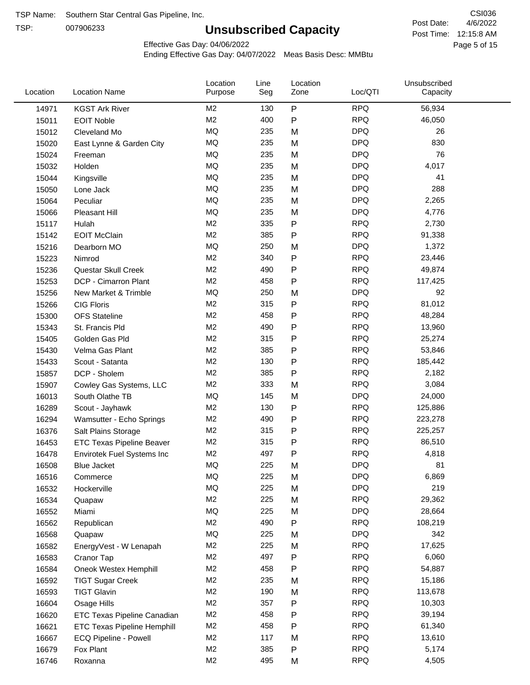TSP:

## **Unsubscribed Capacity**

4/6/2022 Page 5 of 15 Post Time: 12:15:8 AM CSI036 Post Date:

Effective Gas Day: 04/06/2022

| Location | <b>Location Name</b>               | Location<br>Purpose | Line<br>Seg | Location<br>Zone | Loc/QTI    | Unsubscribed<br>Capacity |  |
|----------|------------------------------------|---------------------|-------------|------------------|------------|--------------------------|--|
| 14971    | <b>KGST Ark River</b>              | M <sub>2</sub>      | 130         | $\sf P$          | <b>RPQ</b> | 56,934                   |  |
| 15011    | <b>EOIT Noble</b>                  | M <sub>2</sub>      | 400         | $\mathsf{P}$     | <b>RPQ</b> | 46,050                   |  |
| 15012    | Cleveland Mo                       | <b>MQ</b>           | 235         | M                | <b>DPQ</b> | 26                       |  |
| 15020    | East Lynne & Garden City           | <b>MQ</b>           | 235         | M                | <b>DPQ</b> | 830                      |  |
| 15024    | Freeman                            | <b>MQ</b>           | 235         | M                | <b>DPQ</b> | 76                       |  |
| 15032    | Holden                             | <b>MQ</b>           | 235         | M                | <b>DPQ</b> | 4,017                    |  |
| 15044    | Kingsville                         | MQ                  | 235         | M                | <b>DPQ</b> | 41                       |  |
| 15050    | Lone Jack                          | <b>MQ</b>           | 235         | M                | <b>DPQ</b> | 288                      |  |
| 15064    | Peculiar                           | <b>MQ</b>           | 235         | M                | <b>DPQ</b> | 2,265                    |  |
| 15066    | <b>Pleasant Hill</b>               | MQ                  | 235         | M                | <b>DPQ</b> | 4,776                    |  |
| 15117    | Hulah                              | M <sub>2</sub>      | 335         | ${\sf P}$        | <b>RPQ</b> | 2,730                    |  |
| 15142    | <b>EOIT McClain</b>                | M <sub>2</sub>      | 385         | $\mathsf{P}$     | <b>RPQ</b> | 91,338                   |  |
| 15216    | Dearborn MO                        | MQ                  | 250         | M                | <b>DPQ</b> | 1,372                    |  |
| 15223    | Nimrod                             | M <sub>2</sub>      | 340         | ${\sf P}$        | <b>RPQ</b> | 23,446                   |  |
| 15236    | Questar Skull Creek                | M <sub>2</sub>      | 490         | ${\sf P}$        | <b>RPQ</b> | 49,874                   |  |
| 15253    | DCP - Cimarron Plant               | M <sub>2</sub>      | 458         | $\mathsf{P}$     | <b>RPQ</b> | 117,425                  |  |
| 15256    | New Market & Trimble               | <b>MQ</b>           | 250         | M                | <b>DPQ</b> | 92                       |  |
| 15266    | <b>CIG Floris</b>                  | M <sub>2</sub>      | 315         | $\mathsf{P}$     | <b>RPQ</b> | 81,012                   |  |
| 15300    | <b>OFS Stateline</b>               | M <sub>2</sub>      | 458         | ${\sf P}$        | <b>RPQ</b> | 48,284                   |  |
| 15343    | St. Francis Pld                    | M <sub>2</sub>      | 490         | ${\sf P}$        | <b>RPQ</b> | 13,960                   |  |
| 15405    | Golden Gas Pld                     | M <sub>2</sub>      | 315         | $\mathsf{P}$     | <b>RPQ</b> | 25,274                   |  |
| 15430    | Velma Gas Plant                    | M <sub>2</sub>      | 385         | $\mathsf{P}$     | <b>RPQ</b> | 53,846                   |  |
| 15433    | Scout - Satanta                    | M <sub>2</sub>      | 130         | ${\sf P}$        | <b>RPQ</b> | 185,442                  |  |
| 15857    | DCP - Sholem                       | M <sub>2</sub>      | 385         | $\mathsf{P}$     | <b>RPQ</b> | 2,182                    |  |
| 15907    | Cowley Gas Systems, LLC            | M <sub>2</sub>      | 333         | M                | <b>RPQ</b> | 3,084                    |  |
| 16013    | South Olathe TB                    | MQ                  | 145         | M                | <b>DPQ</b> | 24,000                   |  |
| 16289    | Scout - Jayhawk                    | M <sub>2</sub>      | 130         | $\mathsf{P}$     | <b>RPQ</b> | 125,886                  |  |
| 16294    | Wamsutter - Echo Springs           | M <sub>2</sub>      | 490         | ${\sf P}$        | <b>RPQ</b> | 223,278                  |  |
| 16376    | Salt Plains Storage                | M <sub>2</sub>      | 315         | $\mathsf{P}$     | <b>RPQ</b> | 225,257                  |  |
| 16453    | <b>ETC Texas Pipeline Beaver</b>   | M <sub>2</sub>      | 315         | ${\sf P}$        | <b>RPQ</b> | 86,510                   |  |
| 16478    | Envirotek Fuel Systems Inc         | M <sub>2</sub>      | 497         | P                | <b>RPQ</b> | 4,818                    |  |
| 16508    | Blue Jacket                        | MQ                  | 225         | M                | <b>DPQ</b> | 81                       |  |
| 16516    | Commerce                           | MQ                  | 225         | M                | <b>DPQ</b> | 6,869                    |  |
| 16532    | Hockerville                        | MQ                  | 225         | M                | <b>DPQ</b> | 219                      |  |
| 16534    | Quapaw                             | M <sub>2</sub>      | 225         | M                | <b>RPQ</b> | 29,362                   |  |
| 16552    | Miami                              | MQ                  | 225         | M                | <b>DPQ</b> | 28,664                   |  |
| 16562    | Republican                         | M <sub>2</sub>      | 490         | P                | <b>RPQ</b> | 108,219                  |  |
| 16568    | Quapaw                             | <b>MQ</b>           | 225         | M                | <b>DPQ</b> | 342                      |  |
| 16582    | EnergyVest - W Lenapah             | M <sub>2</sub>      | 225         | M                | <b>RPQ</b> | 17,625                   |  |
| 16583    | Cranor Tap                         | M <sub>2</sub>      | 497         | Ρ                | <b>RPQ</b> | 6,060                    |  |
| 16584    | Oneok Westex Hemphill              | M <sub>2</sub>      | 458         | P                | <b>RPQ</b> | 54,887                   |  |
| 16592    | <b>TIGT Sugar Creek</b>            | M <sub>2</sub>      | 235         | M                | <b>RPQ</b> | 15,186                   |  |
| 16593    | <b>TIGT Glavin</b>                 | M <sub>2</sub>      | 190         | M                | <b>RPQ</b> | 113,678                  |  |
| 16604    | Osage Hills                        | M <sub>2</sub>      | 357         | Ρ                | <b>RPQ</b> | 10,303                   |  |
| 16620    | ETC Texas Pipeline Canadian        | M <sub>2</sub>      | 458         | Ρ                | <b>RPQ</b> | 39,194                   |  |
| 16621    | <b>ETC Texas Pipeline Hemphill</b> | M <sub>2</sub>      | 458         | P                | <b>RPQ</b> | 61,340                   |  |
| 16667    | ECQ Pipeline - Powell              | M <sub>2</sub>      | 117         | M                | <b>RPQ</b> | 13,610                   |  |
| 16679    | Fox Plant                          | M <sub>2</sub>      | 385         | P                | <b>RPQ</b> | 5,174                    |  |
| 16746    | Roxanna                            | M <sub>2</sub>      | 495         | M                | <b>RPQ</b> | 4,505                    |  |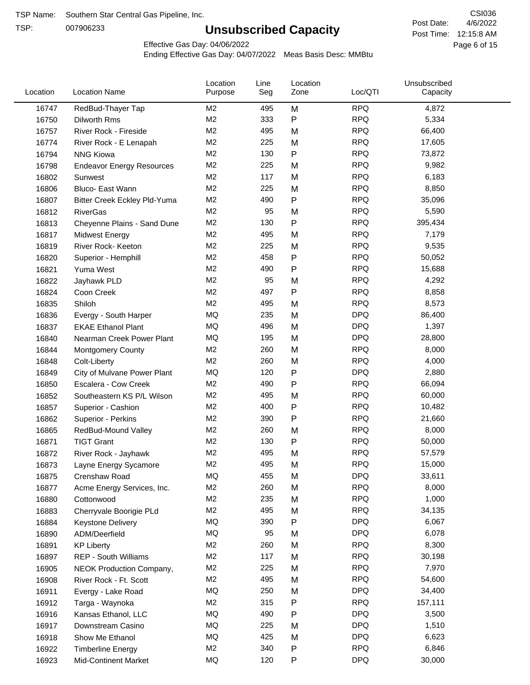TSP:

## **Unsubscribed Capacity**

4/6/2022 Page 6 of 15 Post Time: 12:15:8 AM CSI036 Post Date:

Effective Gas Day: 04/06/2022

| Location | <b>Location Name</b>             | Location<br>Purpose | Line<br>Seg | Location<br>Zone | Loc/QTI    | Unsubscribed<br>Capacity |  |
|----------|----------------------------------|---------------------|-------------|------------------|------------|--------------------------|--|
| 16747    | RedBud-Thayer Tap                | M2                  | 495         | M                | <b>RPQ</b> | 4,872                    |  |
| 16750    | Dilworth Rms                     | M <sub>2</sub>      | 333         | P                | <b>RPQ</b> | 5,334                    |  |
| 16757    | River Rock - Fireside            | M <sub>2</sub>      | 495         | M                | <b>RPQ</b> | 66,400                   |  |
| 16774    | River Rock - E Lenapah           | M <sub>2</sub>      | 225         | M                | <b>RPQ</b> | 17,605                   |  |
| 16794    | <b>NNG Kiowa</b>                 | M <sub>2</sub>      | 130         | P                | <b>RPQ</b> | 73,872                   |  |
| 16798    | <b>Endeavor Energy Resources</b> | M <sub>2</sub>      | 225         | M                | <b>RPQ</b> | 9,982                    |  |
| 16802    | Sunwest                          | M <sub>2</sub>      | 117         | M                | <b>RPQ</b> | 6,183                    |  |
| 16806    | Bluco- East Wann                 | M <sub>2</sub>      | 225         | M                | <b>RPQ</b> | 8,850                    |  |
| 16807    | Bitter Creek Eckley Pld-Yuma     | M <sub>2</sub>      | 490         | P                | <b>RPQ</b> | 35,096                   |  |
| 16812    | <b>RiverGas</b>                  | M <sub>2</sub>      | 95          | M                | <b>RPQ</b> | 5,590                    |  |
| 16813    | Cheyenne Plains - Sand Dune      | M <sub>2</sub>      | 130         | P                | <b>RPQ</b> | 395,434                  |  |
| 16817    | <b>Midwest Energy</b>            | M <sub>2</sub>      | 495         | M                | <b>RPQ</b> | 7,179                    |  |
| 16819    | River Rock- Keeton               | M <sub>2</sub>      | 225         | M                | <b>RPQ</b> | 9,535                    |  |
| 16820    | Superior - Hemphill              | M <sub>2</sub>      | 458         | Ρ                | <b>RPQ</b> | 50,052                   |  |
| 16821    | Yuma West                        | M <sub>2</sub>      | 490         | P                | <b>RPQ</b> | 15,688                   |  |
| 16822    | Jayhawk PLD                      | M <sub>2</sub>      | 95          | M                | <b>RPQ</b> | 4,292                    |  |
| 16824    | Coon Creek                       | M <sub>2</sub>      | 497         | P                | <b>RPQ</b> | 8,858                    |  |
| 16835    | Shiloh                           | M2                  | 495         | M                | <b>RPQ</b> | 8,573                    |  |
| 16836    | Evergy - South Harper            | MQ                  | 235         | M                | <b>DPQ</b> | 86,400                   |  |
| 16837    | <b>EKAE Ethanol Plant</b>        | <b>MQ</b>           | 496         | M                | <b>DPQ</b> | 1,397                    |  |
| 16840    | Nearman Creek Power Plant        | MQ                  | 195         | M                | <b>DPQ</b> | 28,800                   |  |
| 16844    | <b>Montgomery County</b>         | M <sub>2</sub>      | 260         | M                | <b>RPQ</b> | 8,000                    |  |
| 16848    | Colt-Liberty                     | M2                  | 260         | M                | <b>RPQ</b> | 4,000                    |  |
| 16849    | City of Mulvane Power Plant      | MQ                  | 120         | P                | <b>DPQ</b> | 2,880                    |  |
| 16850    | Escalera - Cow Creek             | M <sub>2</sub>      | 490         | Ρ                | <b>RPQ</b> | 66,094                   |  |
| 16852    | Southeastern KS P/L Wilson       | M <sub>2</sub>      | 495         | M                | <b>RPQ</b> | 60,000                   |  |
| 16857    | Superior - Cashion               | M <sub>2</sub>      | 400         | Ρ                | <b>RPQ</b> | 10,482                   |  |
| 16862    | Superior - Perkins               | M <sub>2</sub>      | 390         | Ρ                | <b>RPQ</b> | 21,660                   |  |
| 16865    | RedBud-Mound Valley              | M2                  | 260         | M                | <b>RPQ</b> | 8,000                    |  |
| 16871    | <b>TIGT Grant</b>                | M <sub>2</sub>      | 130         | Ρ                | <b>RPQ</b> | 50,000                   |  |
| 16872    | River Rock - Jayhawk             | M <sub>2</sub>      | 495         | M                | <b>RPQ</b> | 57,579                   |  |
| 16873    | Layne Energy Sycamore            | M <sub>2</sub>      | 495         | M                | <b>RPQ</b> | 15,000                   |  |
| 16875    | Crenshaw Road                    | MQ                  | 455         | M                | <b>DPQ</b> | 33,611                   |  |
| 16877    | Acme Energy Services, Inc.       | M <sub>2</sub>      | 260         | M                | <b>RPQ</b> | 8,000                    |  |
| 16880    | Cottonwood                       | M <sub>2</sub>      | 235         | M                | <b>RPQ</b> | 1,000                    |  |
| 16883    | Cherryvale Boorigie PLd          | M <sub>2</sub>      | 495         | M                | <b>RPQ</b> | 34,135                   |  |
| 16884    | <b>Keystone Delivery</b>         | MQ                  | 390         | Ρ                | <b>DPQ</b> | 6,067                    |  |
| 16890    | ADM/Deerfield                    | MQ                  | 95          | M                | <b>DPQ</b> | 6,078                    |  |
| 16891    | <b>KP Liberty</b>                | M2                  | 260         | M                | <b>RPQ</b> | 8,300                    |  |
| 16897    | <b>REP - South Williams</b>      | M <sub>2</sub>      | 117         | M                | <b>RPQ</b> | 30,198                   |  |
| 16905    | NEOK Production Company,         | M2                  | 225         | M                | <b>RPQ</b> | 7,970                    |  |
| 16908    | River Rock - Ft. Scott           | M2                  | 495         | M                | <b>RPQ</b> | 54,600                   |  |
| 16911    | Evergy - Lake Road               | MQ                  | 250         | M                | <b>DPQ</b> | 34,400                   |  |
| 16912    | Targa - Waynoka                  | M <sub>2</sub>      | 315         | Ρ                | <b>RPQ</b> | 157,111                  |  |
| 16916    | Kansas Ethanol, LLC              | MQ                  | 490         | Ρ                | <b>DPQ</b> | 3,500                    |  |
|          |                                  | MQ                  | 225         | M                | <b>DPQ</b> | 1,510                    |  |
| 16917    | Downstream Casino                | MQ                  | 425         |                  | <b>DPQ</b> | 6,623                    |  |
| 16918    | Show Me Ethanol                  | M2                  | 340         | M                | <b>RPQ</b> | 6,846                    |  |
| 16922    | <b>Timberline Energy</b>         | MQ                  |             | Ρ                | <b>DPQ</b> | 30,000                   |  |
| 16923    | <b>Mid-Continent Market</b>      |                     | 120         | P                |            |                          |  |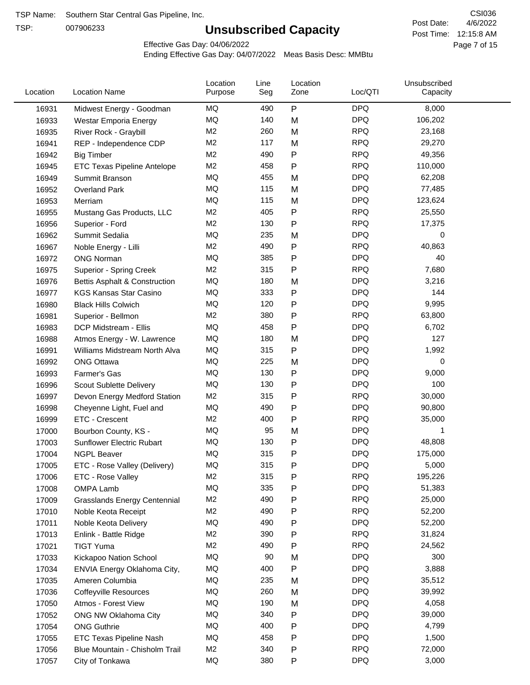TSP:

## **Unsubscribed Capacity**

4/6/2022 Page 7 of 15 Post Time: 12:15:8 AM CSI036 Post Date:

Effective Gas Day: 04/06/2022

| Location       | <b>Location Name</b>                            | Location<br>Purpose | Line<br>Seg | Location<br>Zone | Loc/QTI    | Unsubscribed<br>Capacity |  |
|----------------|-------------------------------------------------|---------------------|-------------|------------------|------------|--------------------------|--|
| 16931          | Midwest Energy - Goodman                        | MQ                  | 490         | P                | <b>DPQ</b> | 8,000                    |  |
| 16933          | Westar Emporia Energy                           | MQ                  | 140         | M                | <b>DPQ</b> | 106,202                  |  |
| 16935          | River Rock - Graybill                           | M <sub>2</sub>      | 260         | M                | <b>RPQ</b> | 23,168                   |  |
| 16941          | REP - Independence CDP                          | M <sub>2</sub>      | 117         | M                | <b>RPQ</b> | 29,270                   |  |
| 16942          | <b>Big Timber</b>                               | M <sub>2</sub>      | 490         | P                | <b>RPQ</b> | 49,356                   |  |
| 16945          | <b>ETC Texas Pipeline Antelope</b>              | M <sub>2</sub>      | 458         | Ρ                | <b>RPQ</b> | 110,000                  |  |
| 16949          | Summit Branson                                  | MQ                  | 455         | M                | <b>DPQ</b> | 62,208                   |  |
| 16952          | Overland Park                                   | <b>MQ</b>           | 115         | M                | <b>DPQ</b> | 77,485                   |  |
| 16953          | Merriam                                         | MQ                  | 115         | M                | <b>DPQ</b> | 123,624                  |  |
| 16955          | Mustang Gas Products, LLC                       | M <sub>2</sub>      | 405         | P                | <b>RPQ</b> | 25,550                   |  |
| 16956          | Superior - Ford                                 | M <sub>2</sub>      | 130         | Ρ                | <b>RPQ</b> | 17,375                   |  |
| 16962          | Summit Sedalia                                  | MQ                  | 235         | M                | <b>DPQ</b> | 0                        |  |
| 16967          | Noble Energy - Lilli                            | M <sub>2</sub>      | 490         | P                | <b>RPQ</b> | 40,863                   |  |
| 16972          | <b>ONG Norman</b>                               | MQ                  | 385         | Ρ                | <b>DPQ</b> | 40                       |  |
| 16975          | Superior - Spring Creek                         | M <sub>2</sub>      | 315         | Ρ                | <b>RPQ</b> | 7,680                    |  |
| 16976          | Bettis Asphalt & Construction                   | MQ                  | 180         | M                | <b>DPQ</b> | 3,216                    |  |
| 16977          | <b>KGS Kansas Star Casino</b>                   | MQ                  | 333         | P                | <b>DPQ</b> | 144                      |  |
| 16980          | <b>Black Hills Colwich</b>                      | MQ                  | 120         | Ρ                | <b>DPQ</b> | 9,995                    |  |
| 16981          | Superior - Bellmon                              | M <sub>2</sub>      | 380         | P                | <b>RPQ</b> | 63,800                   |  |
| 16983          | DCP Midstream - Ellis                           | MQ                  | 458         | Ρ                | <b>DPQ</b> | 6,702                    |  |
| 16988          | Atmos Energy - W. Lawrence                      | MQ                  | 180         | M                | <b>DPQ</b> | 127                      |  |
| 16991          | Williams Midstream North Alva                   | <b>MQ</b>           | 315         | P                | <b>DPQ</b> | 1,992                    |  |
| 16992          | <b>ONG Ottawa</b>                               | MQ                  | 225         | M                | <b>DPQ</b> | 0                        |  |
| 16993          | Farmer's Gas                                    | MQ                  | 130         | P                | <b>DPQ</b> | 9,000                    |  |
| 16996          | Scout Sublette Delivery                         | MQ                  | 130         | Ρ                | <b>DPQ</b> | 100                      |  |
| 16997          | Devon Energy Medford Station                    | M <sub>2</sub>      | 315         | Ρ                | <b>RPQ</b> | 30,000                   |  |
| 16998          | Cheyenne Light, Fuel and                        | MQ                  | 490         | Ρ                | <b>DPQ</b> | 90,800                   |  |
| 16999          | ETC - Crescent                                  | M <sub>2</sub>      | 400         | P                | <b>RPQ</b> | 35,000                   |  |
| 17000          | Bourbon County, KS -                            | MQ                  | 95          | M                | <b>DPQ</b> | 1                        |  |
| 17003          | Sunflower Electric Rubart                       | MQ                  | 130         | Ρ                | <b>DPQ</b> | 48,808                   |  |
| 17004          | <b>NGPL Beaver</b>                              | <b>MQ</b>           | 315         | Ρ                | <b>DPQ</b> | 175,000                  |  |
| 17005          | ETC - Rose Valley (Delivery)                    | MQ                  | 315         | Ρ                | <b>DPQ</b> | 5,000                    |  |
| 17006          | ETC - Rose Valley                               | M <sub>2</sub>      | 315         | Ρ                | <b>RPQ</b> | 195,226                  |  |
| 17008          | OMPA Lamb                                       | MQ                  | 335         | Ρ                | <b>DPQ</b> | 51,383                   |  |
| 17009          | <b>Grasslands Energy Centennial</b>             | M <sub>2</sub>      | 490         | Ρ                | <b>RPQ</b> | 25,000                   |  |
| 17010          | Noble Keota Receipt                             | M2                  | 490         | Ρ                | <b>RPQ</b> | 52,200                   |  |
| 17011          | Noble Keota Delivery                            | MQ                  | 490         | Ρ                | <b>DPQ</b> | 52,200                   |  |
| 17013          | Enlink - Battle Ridge                           | M <sub>2</sub>      | 390         | Ρ                | <b>RPQ</b> | 31,824                   |  |
| 17021          | <b>TIGT Yuma</b>                                | M <sub>2</sub>      | 490         | Ρ                | <b>RPQ</b> | 24,562                   |  |
| 17033          | Kickapoo Nation School                          | MQ                  | 90          | M                | <b>DPQ</b> | 300                      |  |
| 17034          | ENVIA Energy Oklahoma City,                     | MQ                  | 400         | P                | <b>DPQ</b> | 3,888                    |  |
|                |                                                 | MQ                  | 235         | M                | <b>DPQ</b> | 35,512                   |  |
| 17035<br>17036 | Ameren Columbia<br><b>Coffeyville Resources</b> | MQ                  | 260         | M                | <b>DPQ</b> | 39,992                   |  |
|                |                                                 | MQ                  | 190         | M                | <b>DPQ</b> | 4,058                    |  |
| 17050          | Atmos - Forest View                             | MQ                  | 340         | P                | <b>DPQ</b> | 39,000                   |  |
| 17052          | ONG NW Oklahoma City                            | MQ                  | 400         | Ρ                | <b>DPQ</b> | 4,799                    |  |
| 17054          | <b>ONG Guthrie</b>                              | MQ                  | 458         |                  | <b>DPQ</b> | 1,500                    |  |
| 17055          | ETC Texas Pipeline Nash                         | M <sub>2</sub>      | 340         | Ρ                | <b>RPQ</b> |                          |  |
| 17056          | Blue Mountain - Chisholm Trail                  |                     |             | Ρ                |            | 72,000                   |  |
| 17057          | City of Tonkawa                                 | MQ                  | 380         | P                | <b>DPQ</b> | 3,000                    |  |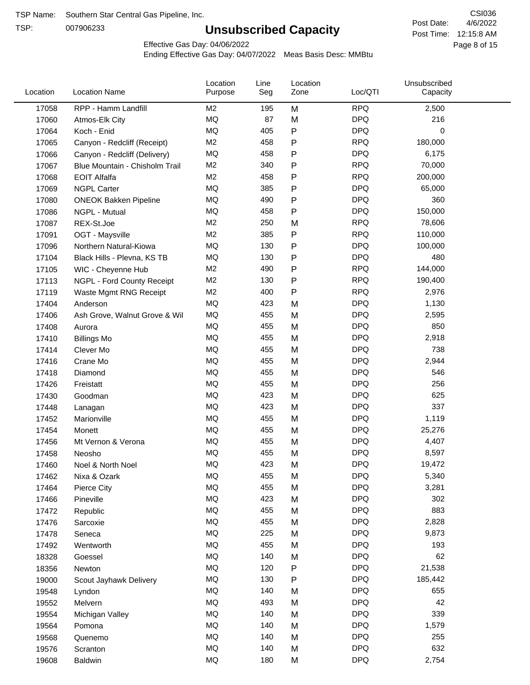TSP:

## **Unsubscribed Capacity**

4/6/2022 Page 8 of 15 Post Time: 12:15:8 AM CSI036 Post Date:

Effective Gas Day: 04/06/2022

| Location | <b>Location Name</b>           | Location<br>Purpose | Line<br>Seg | Location<br>Zone | Loc/QTI    | Unsubscribed<br>Capacity |  |
|----------|--------------------------------|---------------------|-------------|------------------|------------|--------------------------|--|
| 17058    | RPP - Hamm Landfill            | M <sub>2</sub>      | 195         | M                | <b>RPQ</b> | 2,500                    |  |
| 17060    | Atmos-Elk City                 | MQ                  | 87          | M                | <b>DPQ</b> | 216                      |  |
| 17064    | Koch - Enid                    | MQ                  | 405         | $\sf P$          | <b>DPQ</b> | 0                        |  |
| 17065    | Canyon - Redcliff (Receipt)    | M <sub>2</sub>      | 458         | $\mathsf{P}$     | <b>RPQ</b> | 180,000                  |  |
| 17066    | Canyon - Redcliff (Delivery)   | MQ                  | 458         | P                | <b>DPQ</b> | 6,175                    |  |
| 17067    | Blue Mountain - Chisholm Trail | M <sub>2</sub>      | 340         | P                | <b>RPQ</b> | 70,000                   |  |
| 17068    | <b>EOIT Alfalfa</b>            | M <sub>2</sub>      | 458         | Ρ                | <b>RPQ</b> | 200,000                  |  |
| 17069    | <b>NGPL Carter</b>             | <b>MQ</b>           | 385         | $\mathsf{P}$     | <b>DPQ</b> | 65,000                   |  |
| 17080    | <b>ONEOK Bakken Pipeline</b>   | MQ                  | 490         | Ρ                | <b>DPQ</b> | 360                      |  |
| 17086    | NGPL - Mutual                  | <b>MQ</b>           | 458         | ${\sf P}$        | <b>DPQ</b> | 150,000                  |  |
| 17087    | REX-St.Joe                     | M <sub>2</sub>      | 250         | M                | <b>RPQ</b> | 78,606                   |  |
| 17091    | OGT - Maysville                | M <sub>2</sub>      | 385         | P                | <b>RPQ</b> | 110,000                  |  |
| 17096    | Northern Natural-Kiowa         | <b>MQ</b>           | 130         | $\mathsf{P}$     | <b>DPQ</b> | 100,000                  |  |
| 17104    | Black Hills - Plevna, KS TB    | MQ                  | 130         | Ρ                | <b>DPQ</b> | 480                      |  |
| 17105    | WIC - Cheyenne Hub             | M <sub>2</sub>      | 490         | ${\sf P}$        | <b>RPQ</b> | 144,000                  |  |
| 17113    | NGPL - Ford County Receipt     | M <sub>2</sub>      | 130         | Ρ                | <b>RPQ</b> | 190,400                  |  |
| 17119    | Waste Mgmt RNG Receipt         | M <sub>2</sub>      | 400         | $\mathsf{P}$     | <b>RPQ</b> | 2,976                    |  |
| 17404    | Anderson                       | MQ                  | 423         | M                | <b>DPQ</b> | 1,130                    |  |
| 17406    | Ash Grove, Walnut Grove & Wil  | <b>MQ</b>           | 455         | M                | <b>DPQ</b> | 2,595                    |  |
| 17408    | Aurora                         | MQ                  | 455         | M                | <b>DPQ</b> | 850                      |  |
| 17410    | <b>Billings Mo</b>             | MQ                  | 455         | M                | <b>DPQ</b> | 2,918                    |  |
| 17414    | Clever Mo                      | <b>MQ</b>           | 455         | M                | <b>DPQ</b> | 738                      |  |
| 17416    | Crane Mo                       | <b>MQ</b>           | 455         | M                | <b>DPQ</b> | 2,944                    |  |
| 17418    | Diamond                        | <b>MQ</b>           | 455         | M                | <b>DPQ</b> | 546                      |  |
| 17426    | Freistatt                      | <b>MQ</b>           | 455         | M                | <b>DPQ</b> | 256                      |  |
| 17430    | Goodman                        | MQ                  | 423         | M                | <b>DPQ</b> | 625                      |  |
| 17448    | Lanagan                        | <b>MQ</b>           | 423         | M                | <b>DPQ</b> | 337                      |  |
| 17452    | Marionville                    | <b>MQ</b>           | 455         | M                | <b>DPQ</b> | 1,119                    |  |
| 17454    | Monett                         | <b>MQ</b>           | 455         | M                | <b>DPQ</b> | 25,276                   |  |
| 17456    | Mt Vernon & Verona             | MQ                  | 455         | M                | <b>DPQ</b> | 4,407                    |  |
| 17458    | Neosho                         | <b>MQ</b>           | 455         | M                | <b>DPQ</b> | 8,597                    |  |
| 17460    | Noel & North Noel              | MQ                  | 423         | M                | <b>DPQ</b> | 19,472                   |  |
| 17462    | Nixa & Ozark                   | MQ                  | 455         | M                | <b>DPQ</b> | 5,340                    |  |
| 17464    | Pierce City                    | $\sf{MQ}$           | 455         | M                | <b>DPQ</b> | 3,281                    |  |
| 17466    | Pineville                      | MQ                  | 423         | M                | <b>DPQ</b> | 302                      |  |
| 17472    | Republic                       | MQ                  | 455         | M                | <b>DPQ</b> | 883                      |  |
| 17476    | Sarcoxie                       | MQ                  | 455         | M                | <b>DPQ</b> | 2,828                    |  |
| 17478    | Seneca                         | MQ                  | 225         | M                | <b>DPQ</b> | 9,873                    |  |
| 17492    | Wentworth                      | $\sf{MQ}$           | 455         | M                | <b>DPQ</b> | 193                      |  |
| 18328    | Goessel                        | MQ                  | 140         | M                | <b>DPQ</b> | 62                       |  |
| 18356    | Newton                         | MQ                  | 120         | ${\sf P}$        | <b>DPQ</b> | 21,538                   |  |
| 19000    | Scout Jayhawk Delivery         | MQ                  | 130         | P                | <b>DPQ</b> | 185,442                  |  |
| 19548    | Lyndon                         | $\sf{MQ}$           | 140         | M                | <b>DPQ</b> | 655                      |  |
| 19552    | Melvern                        | MQ                  | 493         | M                | <b>DPQ</b> | 42                       |  |
| 19554    | Michigan Valley                | MQ                  | 140         | M                | <b>DPQ</b> | 339                      |  |
| 19564    | Pomona                         | MQ                  | 140         | M                | <b>DPQ</b> | 1,579                    |  |
| 19568    | Quenemo                        | MQ                  | 140         | M                | <b>DPQ</b> | 255                      |  |
| 19576    | Scranton                       | MQ                  | 140         | M                | <b>DPQ</b> | 632                      |  |
| 19608    | Baldwin                        | $\sf{MQ}$           | 180         | M                | <b>DPQ</b> | 2,754                    |  |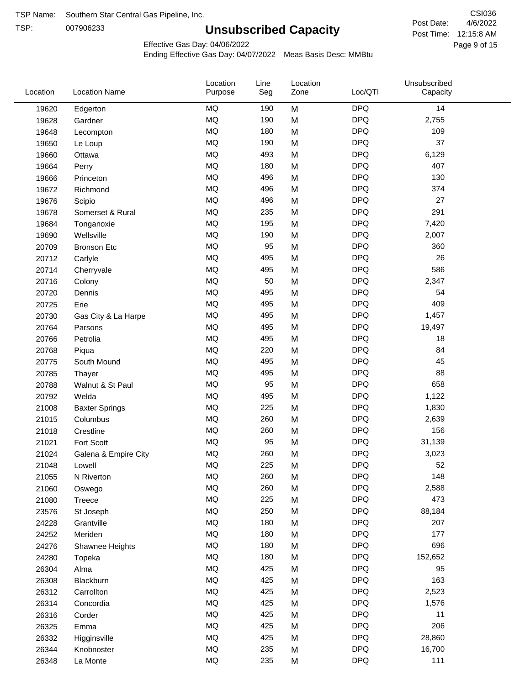TSP:

## **Unsubscribed Capacity**

4/6/2022 Page 9 of 15 Post Time: 12:15:8 AM CSI036 Post Date:

Effective Gas Day: 04/06/2022

| Location | <b>Location Name</b>  | Location<br>Purpose | Line<br>Seg | Location<br>Zone | Loc/QTI    | Unsubscribed<br>Capacity |  |
|----------|-----------------------|---------------------|-------------|------------------|------------|--------------------------|--|
| 19620    | Edgerton              | <b>MQ</b>           | 190         | M                | <b>DPQ</b> | 14                       |  |
| 19628    | Gardner               | MQ                  | 190         | M                | <b>DPQ</b> | 2,755                    |  |
| 19648    | Lecompton             | MQ                  | 180         | M                | <b>DPQ</b> | 109                      |  |
| 19650    | Le Loup               | <b>MQ</b>           | 190         | M                | <b>DPQ</b> | 37                       |  |
| 19660    | Ottawa                | <b>MQ</b>           | 493         | M                | <b>DPQ</b> | 6,129                    |  |
| 19664    | Perry                 | MQ                  | 180         | M                | <b>DPQ</b> | 407                      |  |
| 19666    | Princeton             | MQ                  | 496         | M                | <b>DPQ</b> | 130                      |  |
| 19672    | Richmond              | MQ                  | 496         | M                | <b>DPQ</b> | 374                      |  |
| 19676    | Scipio                | <b>MQ</b>           | 496         | M                | <b>DPQ</b> | 27                       |  |
| 19678    | Somerset & Rural      | <b>MQ</b>           | 235         | M                | <b>DPQ</b> | 291                      |  |
| 19684    | Tonganoxie            | <b>MQ</b>           | 195         | M                | <b>DPQ</b> | 7,420                    |  |
| 19690    | Wellsville            | <b>MQ</b>           | 190         | M                | <b>DPQ</b> | 2,007                    |  |
| 20709    | <b>Bronson Etc</b>    | MQ                  | 95          | M                | <b>DPQ</b> | 360                      |  |
| 20712    | Carlyle               | MQ                  | 495         | M                | <b>DPQ</b> | 26                       |  |
| 20714    | Cherryvale            | <b>MQ</b>           | 495         | M                | <b>DPQ</b> | 586                      |  |
| 20716    | Colony                | MQ                  | 50          | M                | <b>DPQ</b> | 2,347                    |  |
| 20720    | Dennis                | MQ                  | 495         | M                | <b>DPQ</b> | 54                       |  |
| 20725    | Erie                  | <b>MQ</b>           | 495         | M                | <b>DPQ</b> | 409                      |  |
| 20730    | Gas City & La Harpe   | <b>MQ</b>           | 495         | M                | <b>DPQ</b> | 1,457                    |  |
| 20764    | Parsons               | <b>MQ</b>           | 495         | M                | <b>DPQ</b> | 19,497                   |  |
| 20766    | Petrolia              | MQ                  | 495         | M                | <b>DPQ</b> | 18                       |  |
| 20768    | Piqua                 | MQ                  | 220         | M                | <b>DPQ</b> | 84                       |  |
| 20775    | South Mound           | MQ                  | 495         | M                | <b>DPQ</b> | 45                       |  |
| 20785    | Thayer                | <b>MQ</b>           | 495         | M                | <b>DPQ</b> | 88                       |  |
| 20788    | Walnut & St Paul      | MQ                  | 95          | M                | <b>DPQ</b> | 658                      |  |
| 20792    | Welda                 | <b>MQ</b>           | 495         | M                | <b>DPQ</b> | 1,122                    |  |
| 21008    | <b>Baxter Springs</b> | <b>MQ</b>           | 225         | M                | <b>DPQ</b> | 1,830                    |  |
| 21015    | Columbus              | MQ                  | 260         | M                | <b>DPQ</b> | 2,639                    |  |
| 21018    | Crestline             | MQ                  | 260         | M                | <b>DPQ</b> | 156                      |  |
| 21021    | Fort Scott            | MQ                  | 95          | M                | <b>DPQ</b> | 31,139                   |  |
| 21024    | Galena & Empire City  | MQ                  | 260         | M                | <b>DPQ</b> | 3,023                    |  |
| 21048    | Lowell                | $\sf{MQ}$           | 225         | M                | <b>DPQ</b> | 52                       |  |
| 21055    | N Riverton            | MQ                  | 260         | M                | <b>DPQ</b> | 148                      |  |
| 21060    | Oswego                | $\sf{MQ}$           | 260         | M                | <b>DPQ</b> | 2,588                    |  |
| 21080    | Treece                | MQ                  | 225         | M                | <b>DPQ</b> | 473                      |  |
| 23576    | St Joseph             | MQ                  | 250         | M                | <b>DPQ</b> | 88,184                   |  |
| 24228    | Grantville            | MQ                  | 180         | M                | <b>DPQ</b> | 207                      |  |
| 24252    | Meriden               | MQ                  | 180         | M                | <b>DPQ</b> | 177                      |  |
| 24276    | Shawnee Heights       | $\sf{MQ}$           | 180         | M                | <b>DPQ</b> | 696                      |  |
| 24280    | Topeka                | $\sf{MQ}$           | 180         | M                | <b>DPQ</b> | 152,652                  |  |
| 26304    | Alma                  | MQ                  | 425         | M                | <b>DPQ</b> | 95                       |  |
| 26308    | Blackburn             | MQ                  | 425         | M                | <b>DPQ</b> | 163                      |  |
| 26312    | Carrollton            | MQ                  | 425         | M                | <b>DPQ</b> | 2,523                    |  |
| 26314    | Concordia             | $\sf{MQ}$           | 425         | M                | <b>DPQ</b> | 1,576                    |  |
| 26316    | Corder                | $\sf{MQ}$           | 425         | M                | <b>DPQ</b> | 11                       |  |
| 26325    | Emma                  | MQ                  | 425         | M                | <b>DPQ</b> | 206                      |  |
| 26332    | Higginsville          | MQ                  | 425         | M                | <b>DPQ</b> | 28,860                   |  |
| 26344    | Knobnoster            | $\sf{MQ}$           | 235         | M                | <b>DPQ</b> | 16,700                   |  |
| 26348    | La Monte              | $\sf{MQ}$           | 235         | M                | <b>DPQ</b> | 111                      |  |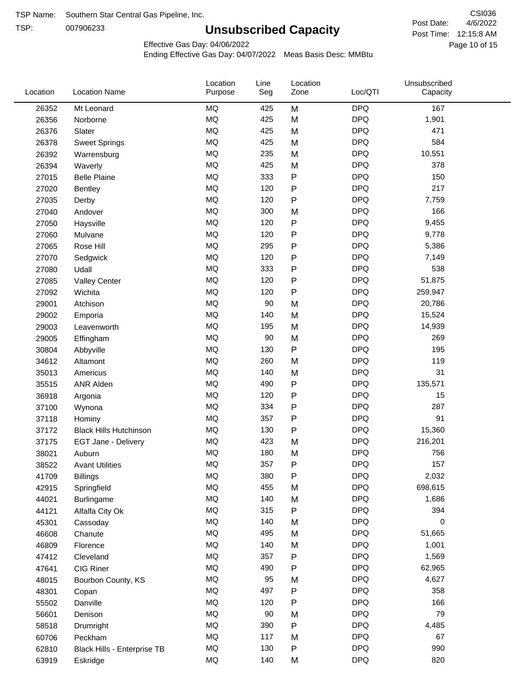TSP:

## **Unsubscribed Capacity**

4/6/2022 Page 10 of 15 Post Time: 12:15:8 AM CSI036 Post Date:

Unsubscribed

Effective Gas Day: 04/06/2022

Location

Ending Effective Gas Day: 04/07/2022 Meas Basis Desc: MMBtu

Line

Location

| Location | <b>Location Name</b>          | Purpose   | Seg | Zone      | Loc/QTI    | Capacity |  |
|----------|-------------------------------|-----------|-----|-----------|------------|----------|--|
| 26352    | Mt Leonard                    | <b>MQ</b> | 425 | M         | <b>DPQ</b> | 167      |  |
| 26356    | Norborne                      | MQ        | 425 | M         | <b>DPQ</b> | 1,901    |  |
| 26376    | Slater                        | MQ        | 425 | M         | <b>DPQ</b> | 471      |  |
| 26378    | <b>Sweet Springs</b>          | MQ        | 425 | M         | <b>DPQ</b> | 584      |  |
| 26392    | Warrensburg                   | <b>MQ</b> | 235 | M         | <b>DPQ</b> | 10,551   |  |
| 26394    | Waverly                       | <b>MQ</b> | 425 | M         | <b>DPQ</b> | 378      |  |
| 27015    | <b>Belle Plaine</b>           | MQ        | 333 | ${\sf P}$ | <b>DPQ</b> | 150      |  |
| 27020    | Bentley                       | MQ        | 120 | $\sf P$   | <b>DPQ</b> | 217      |  |
| 27035    | Derby                         | MQ        | 120 | ${\sf P}$ | <b>DPQ</b> | 7,759    |  |
| 27040    | Andover                       | <b>MQ</b> | 300 | M         | <b>DPQ</b> | 166      |  |
| 27050    | Haysville                     | MQ        | 120 | ${\sf P}$ | <b>DPQ</b> | 9,455    |  |
| 27060    | Mulvane                       | MQ        | 120 | ${\sf P}$ | <b>DPQ</b> | 9,778    |  |
| 27065    | Rose Hill                     | MQ        | 295 | $\sf P$   | <b>DPQ</b> | 5,386    |  |
| 27070    | Sedgwick                      | <b>MQ</b> | 120 | ${\sf P}$ | <b>DPQ</b> | 7,149    |  |
| 27080    | Udall                         | MQ        | 333 | ${\sf P}$ | <b>DPQ</b> | 538      |  |
| 27085    | <b>Valley Center</b>          | MQ        | 120 | ${\sf P}$ | <b>DPQ</b> | 51,875   |  |
| 27092    | Wichita                       | MQ        | 120 | ${\sf P}$ | <b>DPQ</b> | 259,947  |  |
| 29001    | Atchison                      | MQ        | 90  | M         | <b>DPQ</b> | 20,786   |  |
| 29002    | Emporia                       | <b>MQ</b> | 140 | M         | <b>DPQ</b> | 15,524   |  |
| 29003    | Leavenworth                   | MQ        | 195 | M         | <b>DPQ</b> | 14,939   |  |
| 29005    | Effingham                     | MQ        | 90  | M         | <b>DPQ</b> | 269      |  |
| 30804    | Abbyville                     | MQ        | 130 | $\sf P$   | <b>DPQ</b> | 195      |  |
| 34612    | Altamont                      | MQ        | 260 | M         | <b>DPQ</b> | 119      |  |
| 35013    | Americus                      | MQ        | 140 | M         | <b>DPQ</b> | 31       |  |
| 35515    | <b>ANR Alden</b>              | <b>MQ</b> | 490 | ${\sf P}$ | <b>DPQ</b> | 135,571  |  |
| 36918    | Argonia                       | MQ        | 120 | ${\sf P}$ | <b>DPQ</b> | 15       |  |
| 37100    | Wynona                        | MQ        | 334 | ${\sf P}$ | <b>DPQ</b> | 287      |  |
| 37118    | Hominy                        | <b>MQ</b> | 357 | P         | <b>DPQ</b> | 91       |  |
| 37172    | <b>Black Hills Hutchinson</b> | <b>MQ</b> | 130 | ${\sf P}$ | <b>DPQ</b> | 15,360   |  |
| 37175    | EGT Jane - Delivery           | MQ        | 423 | M         | <b>DPQ</b> | 216,201  |  |
| 38021    | Auburn                        | MQ        | 180 | M         | <b>DPQ</b> | 756      |  |
| 38522    | <b>Avant Utilities</b>        | MQ        | 357 | ${\sf P}$ | <b>DPQ</b> | 157      |  |
| 41709    | <b>Billings</b>               | $\sf{MQ}$ | 380 | Ρ         | <b>DPQ</b> | 2,032    |  |
| 42915    | Springfield                   | MQ        | 455 | M         | <b>DPQ</b> | 698,615  |  |
| 44021    | <b>Burlingame</b>             | $\sf{MQ}$ | 140 | M         | <b>DPQ</b> | 1,686    |  |
| 44121    | Alfalfa City Ok               | MQ        | 315 | ${\sf P}$ | <b>DPQ</b> | 394      |  |
| 45301    | Cassoday                      | MQ        | 140 | M         | <b>DPQ</b> | 0        |  |
| 46608    | Chanute                       | MQ        | 495 | M         | <b>DPQ</b> | 51,665   |  |
| 46809    | Florence                      | MQ        | 140 | M         | <b>DPQ</b> | 1,001    |  |
| 47412    | Cleveland                     | $\sf{MQ}$ | 357 | ${\sf P}$ | <b>DPQ</b> | 1,569    |  |
| 47641    | CIG Riner                     | MQ        | 490 | P         | <b>DPQ</b> | 62,965   |  |
| 48015    | Bourbon County, KS            | MQ        | 95  | M         | <b>DPQ</b> | 4,627    |  |
| 48301    | Copan                         | MQ        | 497 | ${\sf P}$ | <b>DPQ</b> | 358      |  |
| 55502    | Danville                      | MQ        | 120 | ${\sf P}$ | <b>DPQ</b> | 166      |  |
| 56601    | Denison                       | MQ        | 90  | M         | <b>DPQ</b> | 79       |  |
| 58518    | Drumright                     | MQ        | 390 | P         | <b>DPQ</b> | 4,485    |  |
| 60706    | Peckham                       | MQ        | 117 | M         | <b>DPQ</b> | 67       |  |
| 62810    | Black Hills - Enterprise TB   | MQ        | 130 | ${\sf P}$ | <b>DPQ</b> | 990      |  |
| 63919    | Eskridge                      | MQ        | 140 | M         | <b>DPQ</b> | 820      |  |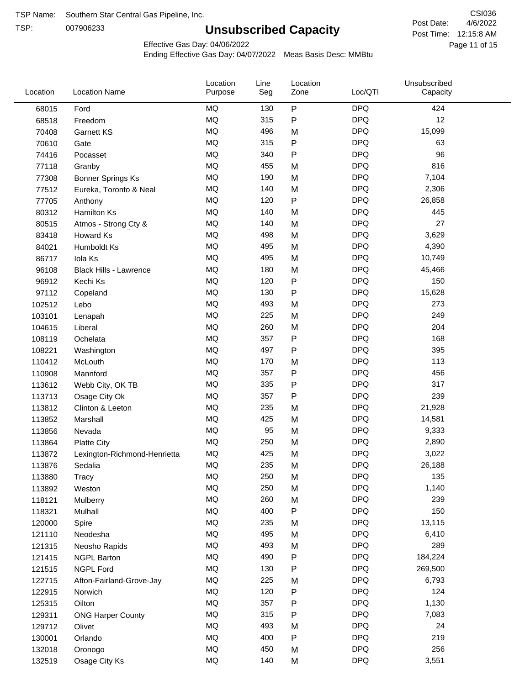TSP:

## **Unsubscribed Capacity**

4/6/2022 Page 11 of 15 Post Time: 12:15:8 AM CSI036 Post Date:

Unsubscribed

Effective Gas Day: 04/06/2022

Location

Ending Effective Gas Day: 04/07/2022 Meas Basis Desc: MMBtu

Line

Location

| Location | <b>Location Name</b>          | Purpose   | Seg | Zone         | Loc/QTI    | Capacity |  |
|----------|-------------------------------|-----------|-----|--------------|------------|----------|--|
| 68015    | Ford                          | <b>MQ</b> | 130 | ${\sf P}$    | <b>DPQ</b> | 424      |  |
| 68518    | Freedom                       | MQ        | 315 | P            | <b>DPQ</b> | 12       |  |
| 70408    | Garnett KS                    | MQ        | 496 | M            | <b>DPQ</b> | 15,099   |  |
| 70610    | Gate                          | MQ        | 315 | P            | <b>DPQ</b> | 63       |  |
| 74416    | Pocasset                      | <b>MQ</b> | 340 | P            | <b>DPQ</b> | 96       |  |
| 77118    | Granby                        | MQ        | 455 | M            | <b>DPQ</b> | 816      |  |
| 77308    | Bonner Springs Ks             | MQ        | 190 | M            | <b>DPQ</b> | 7,104    |  |
| 77512    | Eureka, Toronto & Neal        | MQ        | 140 | M            | <b>DPQ</b> | 2,306    |  |
| 77705    | Anthony                       | MQ        | 120 | ${\sf P}$    | <b>DPQ</b> | 26,858   |  |
| 80312    | Hamilton Ks                   | MQ        | 140 | M            | <b>DPQ</b> | 445      |  |
| 80515    | Atmos - Strong Cty &          | $\sf{MQ}$ | 140 | M            | <b>DPQ</b> | 27       |  |
| 83418    | Howard Ks                     | MQ        | 498 | M            | <b>DPQ</b> | 3,629    |  |
| 84021    | Humboldt Ks                   | MQ        | 495 | M            | <b>DPQ</b> | 4,390    |  |
| 86717    | Iola Ks                       | MQ        | 495 | M            | <b>DPQ</b> | 10,749   |  |
| 96108    | <b>Black Hills - Lawrence</b> | MQ        | 180 | M            | <b>DPQ</b> | 45,466   |  |
| 96912    | Kechi Ks                      | MQ        | 120 | $\mathsf{P}$ | <b>DPQ</b> | 150      |  |
| 97112    | Copeland                      | MQ        | 130 | $\mathsf{P}$ | <b>DPQ</b> | 15,628   |  |
| 102512   | Lebo                          | MQ        | 493 | M            | <b>DPQ</b> | 273      |  |
| 103101   | Lenapah                       | MQ        | 225 | M            | <b>DPQ</b> | 249      |  |
| 104615   | Liberal                       | MQ        | 260 | M            | <b>DPQ</b> | 204      |  |
| 108119   | Ochelata                      | MQ        | 357 | P            | <b>DPQ</b> | 168      |  |
| 108221   | Washington                    | MQ        | 497 | P            | <b>DPQ</b> | 395      |  |
| 110412   | McLouth                       | <b>MQ</b> | 170 | M            | <b>DPQ</b> | 113      |  |
| 110908   | Mannford                      | <b>MQ</b> | 357 | P            | <b>DPQ</b> | 456      |  |
| 113612   | Webb City, OK TB              | MQ        | 335 | P            | <b>DPQ</b> | 317      |  |
| 113713   | Osage City Ok                 | MQ        | 357 | P            | <b>DPQ</b> | 239      |  |
| 113812   | Clinton & Leeton              | <b>MQ</b> | 235 | M            | <b>DPQ</b> | 21,928   |  |
| 113852   | Marshall                      | <b>MQ</b> | 425 | M            | <b>DPQ</b> | 14,581   |  |
| 113856   | Nevada                        | MQ        | 95  | M            | <b>DPQ</b> | 9,333    |  |
| 113864   | <b>Platte City</b>            | MQ        | 250 | M            | <b>DPQ</b> | 2,890    |  |
| 113872   | Lexington-Richmond-Henrietta  | MQ        | 425 | M            | <b>DPQ</b> | 3,022    |  |
| 113876   | Sedalia                       | MQ        | 235 | M            | <b>DPQ</b> | 26,188   |  |
| 113880   | Tracy                         | $\sf{MQ}$ | 250 | M            | <b>DPQ</b> | 135      |  |
| 113892   | Weston                        | MQ        | 250 | M            | <b>DPQ</b> | 1,140    |  |
| 118121   | Mulberry                      | $\sf{MQ}$ | 260 | M            | <b>DPQ</b> | 239      |  |
| 118321   | Mulhall                       | MQ        | 400 | P            | <b>DPQ</b> | 150      |  |
| 120000   | Spire                         | MQ        | 235 | M            | <b>DPQ</b> | 13,115   |  |
| 121110   | Neodesha                      | MQ        | 495 | M            | <b>DPQ</b> | 6,410    |  |
| 121315   | Neosho Rapids                 | $\sf{MQ}$ | 493 | M            | <b>DPQ</b> | 289      |  |
| 121415   | <b>NGPL Barton</b>            | MQ        | 490 | Ρ            | <b>DPQ</b> | 184,224  |  |
| 121515   | <b>NGPL Ford</b>              | MQ        | 130 | P            | <b>DPQ</b> | 269,500  |  |
| 122715   | Afton-Fairland-Grove-Jay      | MQ        | 225 | M            | <b>DPQ</b> | 6,793    |  |
| 122915   | Norwich                       | MQ        | 120 | P            | <b>DPQ</b> | 124      |  |
| 125315   | Oilton                        | MQ        | 357 | P            | <b>DPQ</b> | 1,130    |  |
| 129311   | <b>ONG Harper County</b>      | MQ        | 315 | P            | <b>DPQ</b> | 7,083    |  |
| 129712   | Olivet                        | MQ        | 493 | M            | <b>DPQ</b> | 24       |  |
| 130001   | Orlando                       | MQ        | 400 | ${\sf P}$    | <b>DPQ</b> | 219      |  |
| 132018   | Oronogo                       | $\sf{MQ}$ | 450 | M            | <b>DPQ</b> | 256      |  |
| 132519   | Osage City Ks                 | $\sf{MQ}$ | 140 | M            | <b>DPQ</b> | 3,551    |  |
|          |                               |           |     |              |            |          |  |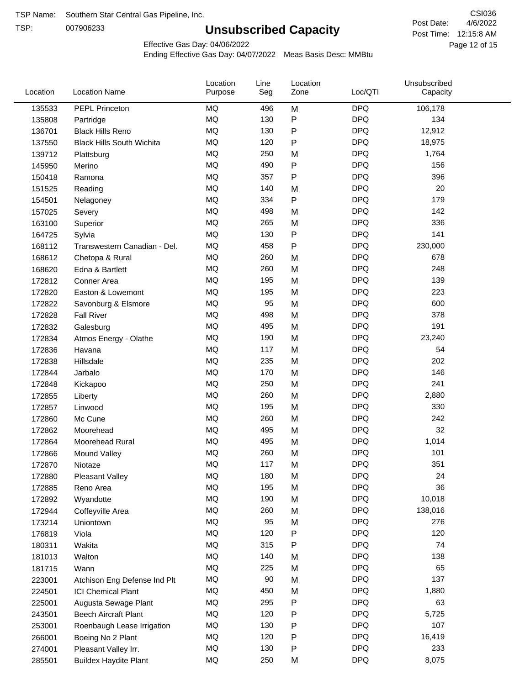TSP:

## **Unsubscribed Capacity**

4/6/2022 Page 12 of 15 Post Time: 12:15:8 AM CSI036 Post Date:

Effective Gas Day: 04/06/2022

| Location | <b>Location Name</b>             | Location<br>Purpose | Line<br>Seg | Location<br>Zone | Loc/QTI    | Unsubscribed<br>Capacity |  |
|----------|----------------------------------|---------------------|-------------|------------------|------------|--------------------------|--|
| 135533   | PEPL Princeton                   | <b>MQ</b>           | 496         | M                | <b>DPQ</b> | 106,178                  |  |
| 135808   | Partridge                        | MQ                  | 130         | ${\sf P}$        | <b>DPQ</b> | 134                      |  |
| 136701   | <b>Black Hills Reno</b>          | MQ                  | 130         | ${\sf P}$        | <b>DPQ</b> | 12,912                   |  |
| 137550   | <b>Black Hills South Wichita</b> | <b>MQ</b>           | 120         | P                | <b>DPQ</b> | 18,975                   |  |
| 139712   | Plattsburg                       | <b>MQ</b>           | 250         | M                | <b>DPQ</b> | 1,764                    |  |
| 145950   | Merino                           | <b>MQ</b>           | 490         | ${\sf P}$        | <b>DPQ</b> | 156                      |  |
| 150418   | Ramona                           | <b>MQ</b>           | 357         | $\mathsf{P}$     | <b>DPQ</b> | 396                      |  |
| 151525   | Reading                          | <b>MQ</b>           | 140         | M                | <b>DPQ</b> | 20                       |  |
| 154501   | Nelagoney                        | <b>MQ</b>           | 334         | P                | <b>DPQ</b> | 179                      |  |
| 157025   | Severy                           | <b>MQ</b>           | 498         | M                | <b>DPQ</b> | 142                      |  |
| 163100   | Superior                         | <b>MQ</b>           | 265         | M                | <b>DPQ</b> | 336                      |  |
| 164725   | Sylvia                           | MQ                  | 130         | ${\sf P}$        | <b>DPQ</b> | 141                      |  |
| 168112   | Transwestern Canadian - Del.     | <b>MQ</b>           | 458         | P                | <b>DPQ</b> | 230,000                  |  |
| 168612   | Chetopa & Rural                  | <b>MQ</b>           | 260         | M                | <b>DPQ</b> | 678                      |  |
| 168620   | Edna & Bartlett                  | <b>MQ</b>           | 260         | M                | <b>DPQ</b> | 248                      |  |
| 172812   | Conner Area                      | <b>MQ</b>           | 195         | M                | <b>DPQ</b> | 139                      |  |
| 172820   | Easton & Lowemont                | MQ                  | 195         | M                | <b>DPQ</b> | 223                      |  |
| 172822   | Savonburg & Elsmore              | MQ                  | 95          | M                | <b>DPQ</b> | 600                      |  |
| 172828   | <b>Fall River</b>                | <b>MQ</b>           | 498         | M                | <b>DPQ</b> | 378                      |  |
| 172832   | Galesburg                        | <b>MQ</b>           | 495         | M                | <b>DPQ</b> | 191                      |  |
| 172834   | Atmos Energy - Olathe            | MQ                  | 190         | M                | <b>DPQ</b> | 23,240                   |  |
| 172836   | Havana                           | <b>MQ</b>           | 117         | M                | <b>DPQ</b> | 54                       |  |
| 172838   | Hillsdale                        | <b>MQ</b>           | 235         | M                | <b>DPQ</b> | 202                      |  |
| 172844   | Jarbalo                          | <b>MQ</b>           | 170         | M                | <b>DPQ</b> | 146                      |  |
| 172848   | Kickapoo                         | <b>MQ</b>           | 250         | M                | <b>DPQ</b> | 241                      |  |
| 172855   | Liberty                          | MQ                  | 260         | M                | <b>DPQ</b> | 2,880                    |  |
| 172857   | Linwood                          | <b>MQ</b>           | 195         | M                | <b>DPQ</b> | 330                      |  |
| 172860   | Mc Cune                          | <b>MQ</b>           | 260         | M                | <b>DPQ</b> | 242                      |  |
| 172862   | Moorehead                        | <b>MQ</b>           | 495         | M                | <b>DPQ</b> | 32                       |  |
| 172864   | Moorehead Rural                  | MQ                  | 495         | M                | <b>DPQ</b> | 1,014                    |  |
| 172866   | Mound Valley                     | <b>MQ</b>           | 260         | M                | <b>DPQ</b> | 101                      |  |
| 172870   | Niotaze                          | MQ                  | 117         | M                | <b>DPQ</b> | 351                      |  |
| 172880   | <b>Pleasant Valley</b>           | MQ                  | 180         | M                | <b>DPQ</b> | 24                       |  |
| 172885   | Reno Area                        | MQ                  | 195         | M                | <b>DPQ</b> | 36                       |  |
| 172892   | Wyandotte                        | $\sf{MQ}$           | 190         | M                | <b>DPQ</b> | 10,018                   |  |
| 172944   | Coffeyville Area                 | MQ                  | 260         | M                | <b>DPQ</b> | 138,016                  |  |
| 173214   | Uniontown                        | MQ                  | 95          | M                | <b>DPQ</b> | 276                      |  |
| 176819   | Viola                            | MQ                  | 120         | ${\sf P}$        | <b>DPQ</b> | 120                      |  |
| 180311   | Wakita                           | MQ                  | 315         | P                | <b>DPQ</b> | 74                       |  |
| 181013   | Walton                           | MQ                  | 140         | M                | <b>DPQ</b> | 138                      |  |
| 181715   | Wann                             | MQ                  | 225         | M                | <b>DPQ</b> | 65                       |  |
| 223001   | Atchison Eng Defense Ind Plt     | MQ                  | 90          | M                | <b>DPQ</b> | 137                      |  |
| 224501   | <b>ICI Chemical Plant</b>        | $\sf{MQ}$           | 450         | M                | <b>DPQ</b> | 1,880                    |  |
| 225001   | Augusta Sewage Plant             | MQ                  | 295         | P                | <b>DPQ</b> | 63                       |  |
| 243501   | <b>Beech Aircraft Plant</b>      | MQ                  | 120         | ${\sf P}$        | <b>DPQ</b> | 5,725                    |  |
| 253001   | Roenbaugh Lease Irrigation       | MQ                  | 130         | P                | <b>DPQ</b> | 107                      |  |
| 266001   | Boeing No 2 Plant                | MQ                  | 120         | ${\sf P}$        | <b>DPQ</b> | 16,419                   |  |
| 274001   | Pleasant Valley Irr.             | MQ                  | 130         | P                | <b>DPQ</b> | 233                      |  |
| 285501   | <b>Buildex Haydite Plant</b>     | MQ                  | 250         | M                | <b>DPQ</b> | 8,075                    |  |
|          |                                  |                     |             |                  |            |                          |  |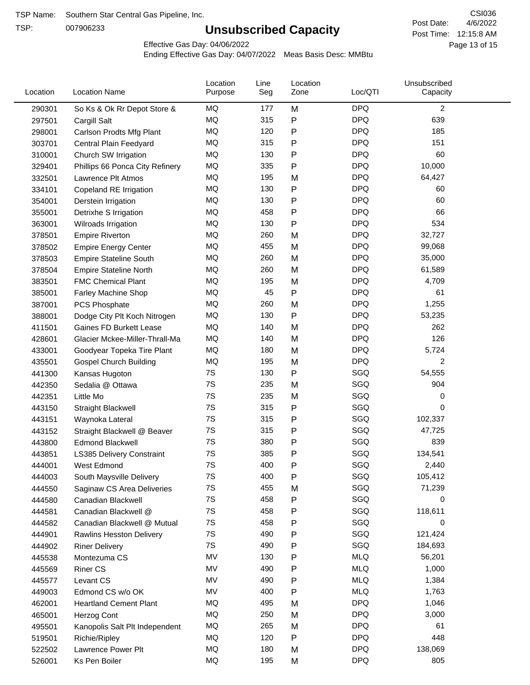TSP:

## **Unsubscribed Capacity**

4/6/2022 Page 13 of 15 Post Time: 12:15:8 AM CSI036 Post Date:

Effective Gas Day: 04/06/2022

| Location | <b>Location Name</b>            | Location<br>Purpose | Line<br>Seg | Location<br>Zone | Loc/QTI    | Unsubscribed<br>Capacity |  |
|----------|---------------------------------|---------------------|-------------|------------------|------------|--------------------------|--|
| 290301   | So Ks & Ok Rr Depot Store &     | MQ                  | 177         | M                | <b>DPQ</b> | $\overline{c}$           |  |
| 297501   | Cargill Salt                    | MQ                  | 315         | P                | <b>DPQ</b> | 639                      |  |
| 298001   | Carlson Prodts Mfg Plant        | MQ                  | 120         | Ρ                | <b>DPQ</b> | 185                      |  |
| 303701   | Central Plain Feedyard          | <b>MQ</b>           | 315         | Ρ                | <b>DPQ</b> | 151                      |  |
| 310001   | Church SW Irrigation            | MQ                  | 130         | Ρ                | <b>DPQ</b> | 60                       |  |
| 329401   | Phillips 66 Ponca City Refinery | MQ                  | 335         | Ρ                | <b>DPQ</b> | 10,000                   |  |
| 332501   | Lawrence Plt Atmos              | MQ                  | 195         | M                | <b>DPQ</b> | 64,427                   |  |
| 334101   | Copeland RE Irrigation          | MQ                  | 130         | P                | <b>DPQ</b> | 60                       |  |
| 354001   | Derstein Irrigation             | MQ                  | 130         | Ρ                | <b>DPQ</b> | 60                       |  |
| 355001   | Detrixhe S Irrigation           | MQ                  | 458         | Ρ                | <b>DPQ</b> | 66                       |  |
| 363001   | Wilroads Irrigation             | MQ                  | 130         | P                | <b>DPQ</b> | 534                      |  |
| 378501   | <b>Empire Riverton</b>          | MQ                  | 260         | M                | <b>DPQ</b> | 32,727                   |  |
| 378502   | <b>Empire Energy Center</b>     | MQ                  | 455         | M                | <b>DPQ</b> | 99,068                   |  |
| 378503   | <b>Empire Stateline South</b>   | MQ                  | 260         | M                | <b>DPQ</b> | 35,000                   |  |
| 378504   | <b>Empire Stateline North</b>   | MQ                  | 260         | M                | <b>DPQ</b> | 61,589                   |  |
| 383501   | <b>FMC Chemical Plant</b>       | MQ                  | 195         | M                | <b>DPQ</b> | 4,709                    |  |
| 385001   | Farley Machine Shop             | MQ                  | 45          | P                | <b>DPQ</b> | 61                       |  |
| 387001   | PCS Phosphate                   | MQ                  | 260         | M                | <b>DPQ</b> | 1,255                    |  |
| 388001   | Dodge City Plt Koch Nitrogen    | MQ                  | 130         | Ρ                | <b>DPQ</b> | 53,235                   |  |
| 411501   | Gaines FD Burkett Lease         | MQ                  | 140         | M                | <b>DPQ</b> | 262                      |  |
| 428601   | Glacier Mckee-Miller-Thrall-Ma  | MQ                  | 140         | M                | <b>DPQ</b> | 126                      |  |
| 433001   | Goodyear Topeka Tire Plant      | MQ                  | 180         | M                | <b>DPQ</b> | 5,724                    |  |
| 435501   | <b>Gospel Church Building</b>   | MQ                  | 195         | M                | <b>DPQ</b> | 2                        |  |
| 441300   | Kansas Hugoton                  | 7S                  | 130         | Ρ                | SGQ        | 54,555                   |  |
| 442350   | Sedalia @ Ottawa                | 7S                  | 235         | M                | SGQ        | 904                      |  |
| 442351   | Little Mo                       | 7S                  | 235         | M                | SGQ        | 0                        |  |
| 443150   | <b>Straight Blackwell</b>       | 7S                  | 315         | P                | SGQ        | 0                        |  |
| 443151   | Waynoka Lateral                 | 7S                  | 315         | Ρ                | SGQ        | 102,337                  |  |
| 443152   | Straight Blackwell @ Beaver     | 7S                  | 315         | P                | SGQ        | 47,725                   |  |
| 443800   | <b>Edmond Blackwell</b>         | 7S                  | 380         | Ρ                | SGQ        | 839                      |  |
| 443851   | LS385 Delivery Constraint       | 7S                  | 385         | Ρ                | SGQ        | 134,541                  |  |
| 444001   | West Edmond                     | 7S                  | 400         | Ρ                | SGQ        | 2,440                    |  |
| 444003   | South Maysville Delivery        | 7S                  | 400         | Ρ                | SGQ        | 105,412                  |  |
| 444550   | Saginaw CS Area Deliveries      | 7S                  | 455         | M                | SGQ        | 71,239                   |  |
| 444580   | Canadian Blackwell              | 7S                  | 458         | Ρ                | SGQ        | 0                        |  |
| 444581   | Canadian Blackwell @            | 7S                  | 458         | Ρ                | SGQ        | 118,611                  |  |
| 444582   | Canadian Blackwell @ Mutual     | 7S                  | 458         | Ρ                | SGQ        | 0                        |  |
| 444901   | Rawlins Hesston Delivery        | 7S                  | 490         | P                | SGQ        | 121,424                  |  |
| 444902   | <b>Riner Delivery</b>           | 7S                  | 490         | Ρ                | SGQ        | 184,693                  |  |
| 445538   | Montezuma CS                    | MV                  | 130         | Ρ                | <b>MLQ</b> | 56,201                   |  |
| 445569   | <b>Riner CS</b>                 | MV                  | 490         | P                | <b>MLQ</b> | 1,000                    |  |
| 445577   | Levant CS                       | MV                  | 490         | Ρ                | <b>MLQ</b> | 1,384                    |  |
| 449003   | Edmond CS w/o OK                | MV                  | 400         | P                | <b>MLQ</b> | 1,763                    |  |
| 462001   | <b>Heartland Cement Plant</b>   | MQ                  | 495         | M                | <b>DPQ</b> | 1,046                    |  |
| 465001   | Herzog Cont                     | MQ                  | 250         | M                | <b>DPQ</b> | 3,000                    |  |
| 495501   | Kanopolis Salt Plt Independent  | MQ                  | 265         | M                | <b>DPQ</b> | 61                       |  |
| 519501   | Richie/Ripley                   | MQ                  | 120         | Ρ                | <b>DPQ</b> | 448                      |  |
| 522502   | Lawrence Power Plt              | MQ                  | 180         | M                | <b>DPQ</b> | 138,069                  |  |
| 526001   | Ks Pen Boiler                   | MQ                  | 195         | M                | <b>DPQ</b> | 805                      |  |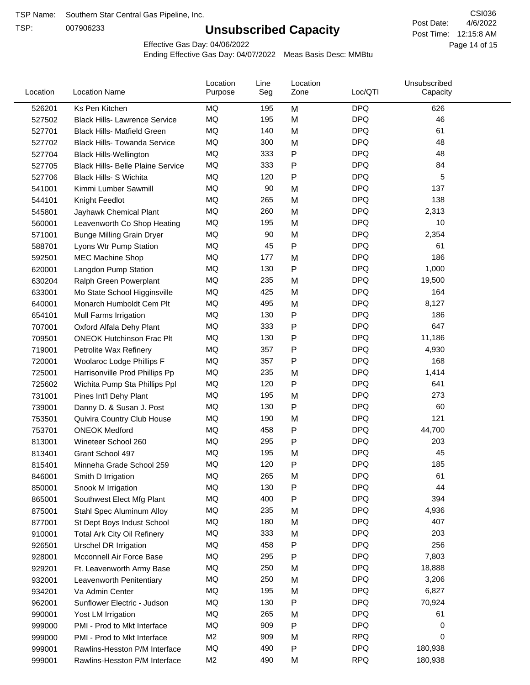TSP:

## **Unsubscribed Capacity**

4/6/2022 Page 14 of 15 Post Time: 12:15:8 AM CSI036 Post Date:

Effective Gas Day: 04/06/2022

| Location | <b>Location Name</b>                     | Location<br>Purpose | Line<br>Seg | Location<br>Zone | Loc/QTI    | Unsubscribed<br>Capacity |  |
|----------|------------------------------------------|---------------------|-------------|------------------|------------|--------------------------|--|
| 526201   | Ks Pen Kitchen                           | MQ                  | 195         | M                | <b>DPQ</b> | 626                      |  |
| 527502   | <b>Black Hills- Lawrence Service</b>     | <b>MQ</b>           | 195         | M                | <b>DPQ</b> | 46                       |  |
| 527701   | <b>Black Hills- Matfield Green</b>       | <b>MQ</b>           | 140         | M                | <b>DPQ</b> | 61                       |  |
| 527702   | <b>Black Hills- Towanda Service</b>      | <b>MQ</b>           | 300         | M                | <b>DPQ</b> | 48                       |  |
| 527704   | <b>Black Hills-Wellington</b>            | MQ                  | 333         | P                | <b>DPQ</b> | 48                       |  |
| 527705   | <b>Black Hills- Belle Plaine Service</b> | MQ                  | 333         | P                | <b>DPQ</b> | 84                       |  |
| 527706   | <b>Black Hills- S Wichita</b>            | MQ                  | 120         | P                | <b>DPQ</b> | 5                        |  |
| 541001   | Kimmi Lumber Sawmill                     | MQ                  | 90          | M                | <b>DPQ</b> | 137                      |  |
| 544101   | Knight Feedlot                           | <b>MQ</b>           | 265         | M                | <b>DPQ</b> | 138                      |  |
| 545801   | Jayhawk Chemical Plant                   | MQ                  | 260         | M                | <b>DPQ</b> | 2,313                    |  |
| 560001   | Leavenworth Co Shop Heating              | MQ                  | 195         | M                | <b>DPQ</b> | 10                       |  |
| 571001   | <b>Bunge Milling Grain Dryer</b>         | MQ                  | 90          | M                | <b>DPQ</b> | 2,354                    |  |
| 588701   | Lyons Wtr Pump Station                   | <b>MQ</b>           | 45          | P                | <b>DPQ</b> | 61                       |  |
| 592501   | <b>MEC Machine Shop</b>                  | MQ                  | 177         | M                | <b>DPQ</b> | 186                      |  |
| 620001   | Langdon Pump Station                     | MQ                  | 130         | P                | <b>DPQ</b> | 1,000                    |  |
| 630204   | Ralph Green Powerplant                   | MQ                  | 235         | M                | <b>DPQ</b> | 19,500                   |  |
| 633001   | Mo State School Higginsville             | MQ                  | 425         | M                | <b>DPQ</b> | 164                      |  |
| 640001   | Monarch Humboldt Cem Plt                 | MQ                  | 495         | M                | <b>DPQ</b> | 8,127                    |  |
| 654101   | Mull Farms Irrigation                    | MQ                  | 130         | P                | <b>DPQ</b> | 186                      |  |
| 707001   | Oxford Alfala Dehy Plant                 | MQ                  | 333         | P                | <b>DPQ</b> | 647                      |  |
| 709501   | <b>ONEOK Hutchinson Frac Plt</b>         | MQ                  | 130         | P                | <b>DPQ</b> | 11,186                   |  |
| 719001   | Petrolite Wax Refinery                   | <b>MQ</b>           | 357         | Ρ                | <b>DPQ</b> | 4,930                    |  |
| 720001   | Woolaroc Lodge Phillips F                | MQ                  | 357         | Ρ                | <b>DPQ</b> | 168                      |  |
| 725001   | Harrisonville Prod Phillips Pp           | MQ                  | 235         | M                | <b>DPQ</b> | 1,414                    |  |
| 725602   | Wichita Pump Sta Phillips Ppl            | MQ                  | 120         | P                | <b>DPQ</b> | 641                      |  |
| 731001   | Pines Int'l Dehy Plant                   | MQ                  | 195         | M                | <b>DPQ</b> | 273                      |  |
| 739001   | Danny D. & Susan J. Post                 | MQ                  | 130         | P                | <b>DPQ</b> | 60                       |  |
| 753501   | Quivira Country Club House               | MQ                  | 190         | M                | <b>DPQ</b> | 121                      |  |
| 753701   | <b>ONEOK Medford</b>                     | MQ                  | 458         | P                | <b>DPQ</b> | 44,700                   |  |
| 813001   | Wineteer School 260                      | MQ                  | 295         | Ρ                | <b>DPQ</b> | 203                      |  |
| 813401   | Grant School 497                         | MQ                  | 195         | M                | <b>DPQ</b> | 45                       |  |
| 815401   | Minneha Grade School 259                 | MQ                  | 120         | Ρ                | <b>DPQ</b> | 185                      |  |
| 846001   | Smith D Irrigation                       | MQ                  | 265         | M                | <b>DPQ</b> | 61                       |  |
| 850001   | Snook M Irrigation                       | MQ                  | 130         | P                | <b>DPQ</b> | 44                       |  |
| 865001   | Southwest Elect Mfg Plant                | MQ                  | 400         | Ρ                | <b>DPQ</b> | 394                      |  |
| 875001   | Stahl Spec Aluminum Alloy                | MQ                  | 235         | M                | <b>DPQ</b> | 4,936                    |  |
| 877001   | St Dept Boys Indust School               | MQ                  | 180         | M                | <b>DPQ</b> | 407                      |  |
| 910001   | <b>Total Ark City Oil Refinery</b>       | MQ                  | 333         | M                | <b>DPQ</b> | 203                      |  |
| 926501   | <b>Urschel DR Irrigation</b>             | MQ                  | 458         | P                | <b>DPQ</b> | 256                      |  |
| 928001   | Mcconnell Air Force Base                 | MQ                  | 295         | P                | <b>DPQ</b> | 7,803                    |  |
| 929201   | Ft. Leavenworth Army Base                | MQ                  | 250         | M                | <b>DPQ</b> | 18,888                   |  |
| 932001   | Leavenworth Penitentiary                 | MQ                  | 250         | M                | <b>DPQ</b> | 3,206                    |  |
| 934201   | Va Admin Center                          | MQ                  | 195         | M                | <b>DPQ</b> | 6,827                    |  |
| 962001   | Sunflower Electric - Judson              | MQ                  | 130         | P                | <b>DPQ</b> | 70,924                   |  |
| 990001   | Yost LM Irrigation                       | MQ                  | 265         | M                | <b>DPQ</b> | 61                       |  |
| 999000   | PMI - Prod to Mkt Interface              | MQ                  | 909         | P                | <b>DPQ</b> | 0                        |  |
| 999000   | PMI - Prod to Mkt Interface              | M2                  | 909         | M                | <b>RPQ</b> | 0                        |  |
| 999001   | Rawlins-Hesston P/M Interface            | MQ                  | 490         | P                | <b>DPQ</b> | 180,938                  |  |
| 999001   | Rawlins-Hesston P/M Interface            | M <sub>2</sub>      | 490         | M                | <b>RPQ</b> | 180,938                  |  |
|          |                                          |                     |             |                  |            |                          |  |